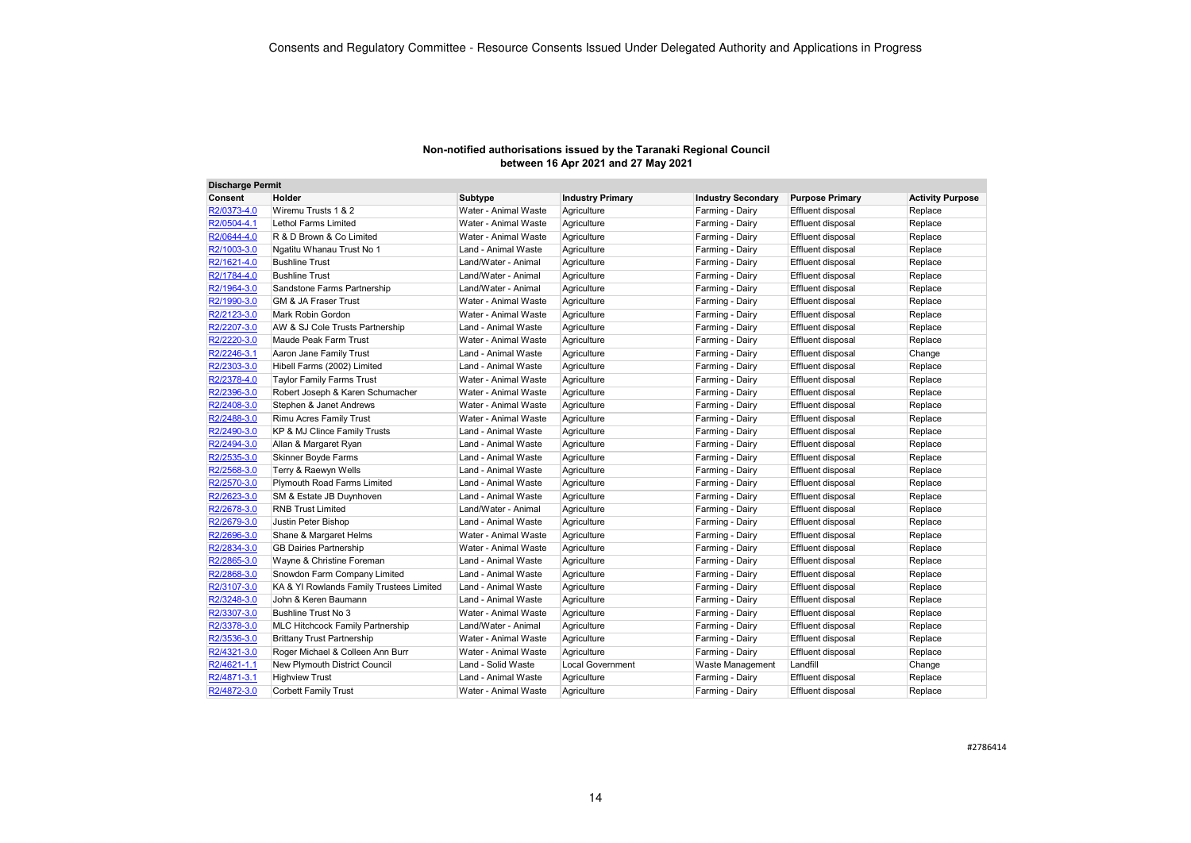| <b>Discharge Permit</b> |                                          |                      |                         |                           |                          |                         |
|-------------------------|------------------------------------------|----------------------|-------------------------|---------------------------|--------------------------|-------------------------|
| Consent                 | Holder                                   | Subtype              | <b>Industry Primary</b> | <b>Industry Secondary</b> | <b>Purpose Primary</b>   | <b>Activity Purpose</b> |
| R2/0373-4.0             | Wiremu Trusts 1 & 2                      | Water - Animal Waste | Agriculture             | Farming - Dairy           | Effluent disposal        | Replace                 |
| R2/0504-4.1             | Lethol Farms Limited                     | Water - Animal Waste | Agriculture             | Farming - Dairy           | Effluent disposal        | Replace                 |
| R2/0644-4.0             | R & D Brown & Co Limited                 | Water - Animal Waste | Agriculture             | Farming - Dairy           | Effluent disposal        | Replace                 |
| R2/1003-3.0             | Ngatitu Whanau Trust No 1                | Land - Animal Waste  | Agriculture             | Farming - Dairy           | Effluent disposal        | Replace                 |
| R2/1621-4.0             | <b>Bushline Trust</b>                    | Land/Water - Animal  | Agriculture             | Farming - Dairy           | Effluent disposal        | Replace                 |
| R2/1784-4.0             | <b>Bushline Trust</b>                    | Land/Water - Animal  | Agriculture             | Farming - Dairy           | Effluent disposal        | Replace                 |
| R2/1964-3.0             | Sandstone Farms Partnership              | Land/Water - Animal  | Agriculture             | Farming - Dairy           | Effluent disposal        | Replace                 |
| R2/1990-3.0             | <b>GM &amp; JA Fraser Trust</b>          | Water - Animal Waste | Agriculture             | Farming - Dairy           | Effluent disposal        | Replace                 |
| R2/2123-3.0             | Mark Robin Gordon                        | Water - Animal Waste | Agriculture             | Farming - Dairy           | Effluent disposal        | Replace                 |
| R2/2207-3.0             | AW & SJ Cole Trusts Partnership          | Land - Animal Waste  | Agriculture             | Farming - Dairy           | Effluent disposal        | Replace                 |
| R2/2220-3.0             | Maude Peak Farm Trust                    | Water - Animal Waste | Agriculture             | Farming - Dairy           | Effluent disposal        | Replace                 |
| R2/2246-3.1             | Aaron Jane Family Trust                  | Land - Animal Waste  | Agriculture             | Farming - Dairy           | Effluent disposal        | Change                  |
| R2/2303-3.0             | Hibell Farms (2002) Limited              | Land - Animal Waste  | Agriculture             | Farming - Dairy           | Effluent disposal        | Replace                 |
| R2/2378-4.0             | <b>Taylor Family Farms Trust</b>         | Water - Animal Waste | Agriculture             | Farming - Dairy           | Effluent disposal        | Replace                 |
| R2/2396-3.0             | Robert Joseph & Karen Schumacher         | Water - Animal Waste | Agriculture             | Farming - Dairy           | Effluent disposal        | Replace                 |
| R2/2408-3.0             | Stephen & Janet Andrews                  | Water - Animal Waste | Agriculture             | Farming - Dairy           | Effluent disposal        | Replace                 |
| R2/2488-3.0             | Rimu Acres Family Trust                  | Water - Animal Waste | Agriculture             | Farming - Dairy           | Effluent disposal        | Replace                 |
| R2/2490-3.0             | KP & MJ Clince Family Trusts             | Land - Animal Waste  | Agriculture             | Farming - Dairy           | Effluent disposal        | Replace                 |
| R2/2494-3.0             | Allan & Margaret Ryan                    | Land - Animal Waste  | Agriculture             | Farming - Dairy           | Effluent disposal        | Replace                 |
| R2/2535-3.0             | Skinner Boyde Farms                      | Land - Animal Waste  | Agriculture             | Farming - Dairy           | Effluent disposal        | Replace                 |
| R2/2568-3.0             | Terry & Raewyn Wells                     | Land - Animal Waste  | Agriculture             | Farming - Dairy           | Effluent disposal        | Replace                 |
| R2/2570-3.0             | Plymouth Road Farms Limited              | Land - Animal Waste  | Agriculture             | Farming - Dairy           | Effluent disposal        | Replace                 |
| R2/2623-3.0             | SM & Estate JB Duynhoven                 | Land - Animal Waste  | Agriculture             | Farming - Dairy           | Effluent disposal        | Replace                 |
| R2/2678-3.0             | <b>RNB Trust Limited</b>                 | Land/Water - Animal  | Agriculture             | Farming - Dairy           | Effluent disposal        | Replace                 |
| R2/2679-3.0             | Justin Peter Bishop                      | Land - Animal Waste  | Agriculture             | Farming - Dairy           | Effluent disposal        | Replace                 |
| R2/2696-3.0             | Shane & Margaret Helms                   | Water - Animal Waste | Agriculture             | Farming - Dairy           | Effluent disposal        | Replace                 |
| R2/2834-3.0             | <b>GB Dairies Partnership</b>            | Water - Animal Waste | Agriculture             | Farming - Dairy           | Effluent disposal        | Replace                 |
| R2/2865-3.0             | Wayne & Christine Foreman                | Land - Animal Waste  | Agriculture             | Farming - Dairy           | Effluent disposal        | Replace                 |
| R2/2868-3.0             | Snowdon Farm Company Limited             | Land - Animal Waste  | Agriculture             | Farming - Dairy           | Effluent disposal        | Replace                 |
| R2/3107-3.0             | KA & YI Rowlands Family Trustees Limited | Land - Animal Waste  | Agriculture             | Farming - Dairy           | Effluent disposal        | Replace                 |
| R2/3248-3.0             | John & Keren Baumann                     | Land - Animal Waste  | Agriculture             | Farming - Dairy           | Effluent disposal        | Replace                 |
| R2/3307-3.0             | <b>Bushline Trust No 3</b>               | Water - Animal Waste | Agriculture             | Farming - Dairy           | Effluent disposal        | Replace                 |
| R2/3378-3.0             | <b>MLC Hitchcock Family Partnership</b>  | Land/Water - Animal  | Agriculture             | Farming - Dairy           | Effluent disposal        | Replace                 |
| R2/3536-3.0             | <b>Brittany Trust Partnership</b>        | Water - Animal Waste | Agriculture             | Farming - Dairy           | Effluent disposal        | Replace                 |
| R2/4321-3.0             | Roger Michael & Colleen Ann Burr         | Water - Animal Waste | Agriculture             | Farming - Dairy           | Effluent disposal        | Replace                 |
| R2/4621-1.1             | New Plymouth District Council            | Land - Solid Waste   | <b>Local Government</b> | Waste Management          | Landfill                 | Change                  |
| R2/4871-3.1             | <b>Highview Trust</b>                    | Land - Animal Waste  | Agriculture             | Farming - Dairy           | Effluent disposal        | Replace                 |
| R2/4872-3.0             | <b>Corbett Family Trust</b>              | Water - Animal Waste | Agriculture             | Farming - Dairy           | <b>Effluent disposal</b> | Replace                 |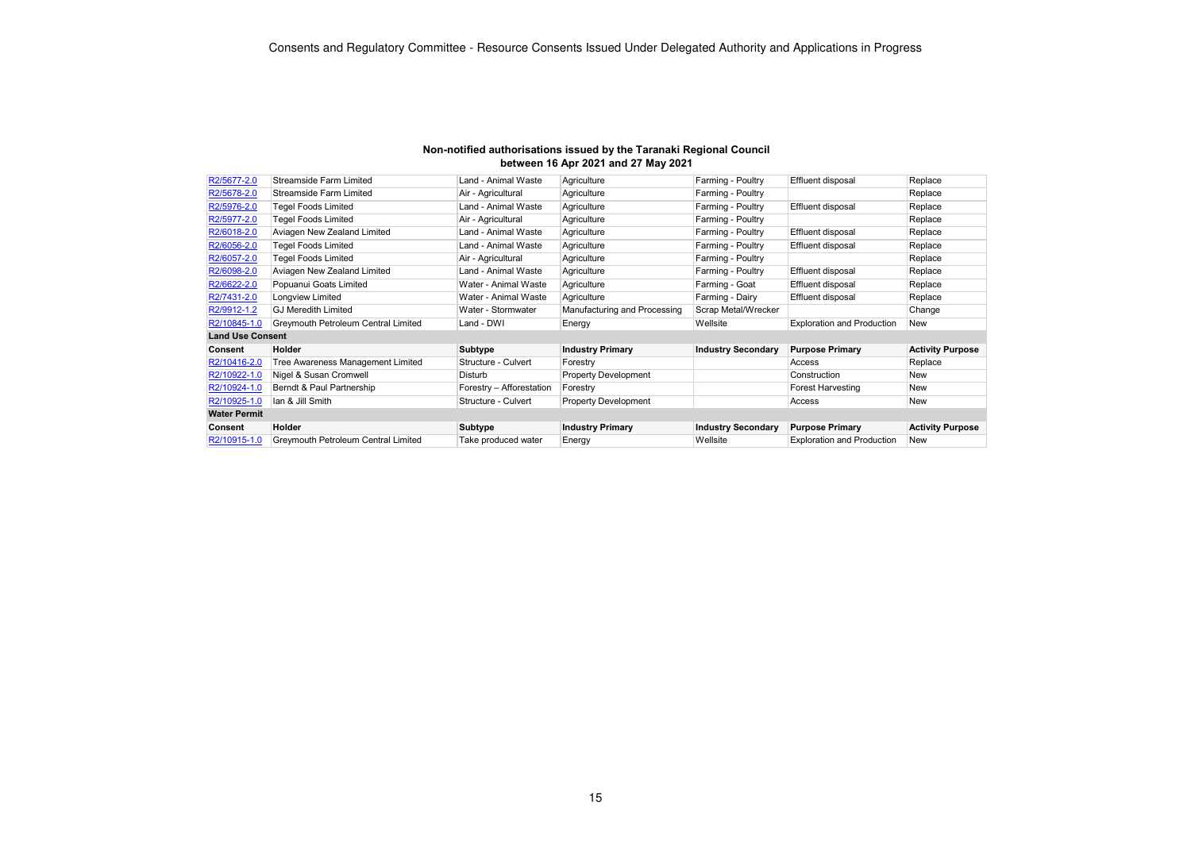| Non-notified authorisations issued by the Taranaki Regional Council |
|---------------------------------------------------------------------|
| between 16 Apr 2021 and 27 May 2021                                 |

| R2/5677-2.0             | <b>Streamside Farm Limited</b>      | Land - Animal Waste      | Agriculture                  | Farming - Poultry         | Effluent disposal                 | Replace                 |
|-------------------------|-------------------------------------|--------------------------|------------------------------|---------------------------|-----------------------------------|-------------------------|
| R2/5678-2.0             | <b>Streamside Farm Limited</b>      | Air - Agricultural       | Agriculture                  | Farming - Poultry         |                                   | Replace                 |
| R2/5976-2.0             | <b>Tegel Foods Limited</b>          | Land - Animal Waste      | Agriculture                  | Farming - Poultry         | Effluent disposal                 | Replace                 |
| R2/5977-2.0             | <b>Tegel Foods Limited</b>          | Air - Agricultural       | Agriculture                  | Farming - Poultry         |                                   | Replace                 |
| R2/6018-2.0             | Aviagen New Zealand Limited         | Land - Animal Waste      | Agriculture                  | Farming - Poultry         | Effluent disposal                 | Replace                 |
| R2/6056-2.0             | <b>Tegel Foods Limited</b>          | Land - Animal Waste      | Agriculture                  | Farming - Poultry         | Effluent disposal                 | Replace                 |
| R2/6057-2.0             | <b>Tegel Foods Limited</b>          | Air - Agricultural       | Agriculture                  | Farming - Poultry         |                                   | Replace                 |
| R2/6098-2.0             | Aviagen New Zealand Limited         | Land - Animal Waste      | Agriculture                  | Farming - Poultry         | Effluent disposal                 | Replace                 |
| R2/6622-2.0             | Popuanui Goats Limited              | Water - Animal Waste     | Agriculture                  | Farming - Goat            | Effluent disposal                 | Replace                 |
| R2/7431-2.0             | Longview Limited                    | Water - Animal Waste     | Agriculture                  | Farming - Dairy           | Effluent disposal                 | Replace                 |
| R2/9912-1.2             | <b>GJ Meredith Limited</b>          | Water - Stormwater       | Manufacturing and Processing | Scrap Metal/Wrecker       |                                   | Change                  |
| R2/10845-1.0            | Greymouth Petroleum Central Limited | Land - DWI               | Energy                       | Wellsite                  | <b>Exploration and Production</b> | <b>New</b>              |
| <b>Land Use Consent</b> |                                     |                          |                              |                           |                                   |                         |
| Consent                 | Holder                              | Subtype                  | <b>Industry Primary</b>      | <b>Industry Secondary</b> | <b>Purpose Primary</b>            | <b>Activity Purpose</b> |
| R2/10416-2.0            | Tree Awareness Management Limited   | Structure - Culvert      | Forestry                     |                           | Access                            | Replace                 |
| R2/10922-1.0            | Nigel & Susan Cromwell              | Disturb                  | <b>Property Development</b>  |                           | Construction                      | <b>New</b>              |
| R2/10924-1.0            | Berndt & Paul Partnership           | Forestry - Afforestation | Forestry                     |                           | <b>Forest Harvesting</b>          | <b>New</b>              |
| R2/10925-1.0            | lan & Jill Smith                    | Structure - Culvert      | <b>Property Development</b>  |                           | Access                            | <b>New</b>              |
| <b>Water Permit</b>     |                                     |                          |                              |                           |                                   |                         |
| Consent                 | <b>Holder</b>                       | Subtype                  | <b>Industry Primary</b>      | <b>Industry Secondary</b> | <b>Purpose Primary</b>            | <b>Activity Purpose</b> |
| R2/10915-1.0            | Greymouth Petroleum Central Limited | Take produced water      | Energy                       | Wellsite                  | <b>Exploration and Production</b> | <b>New</b>              |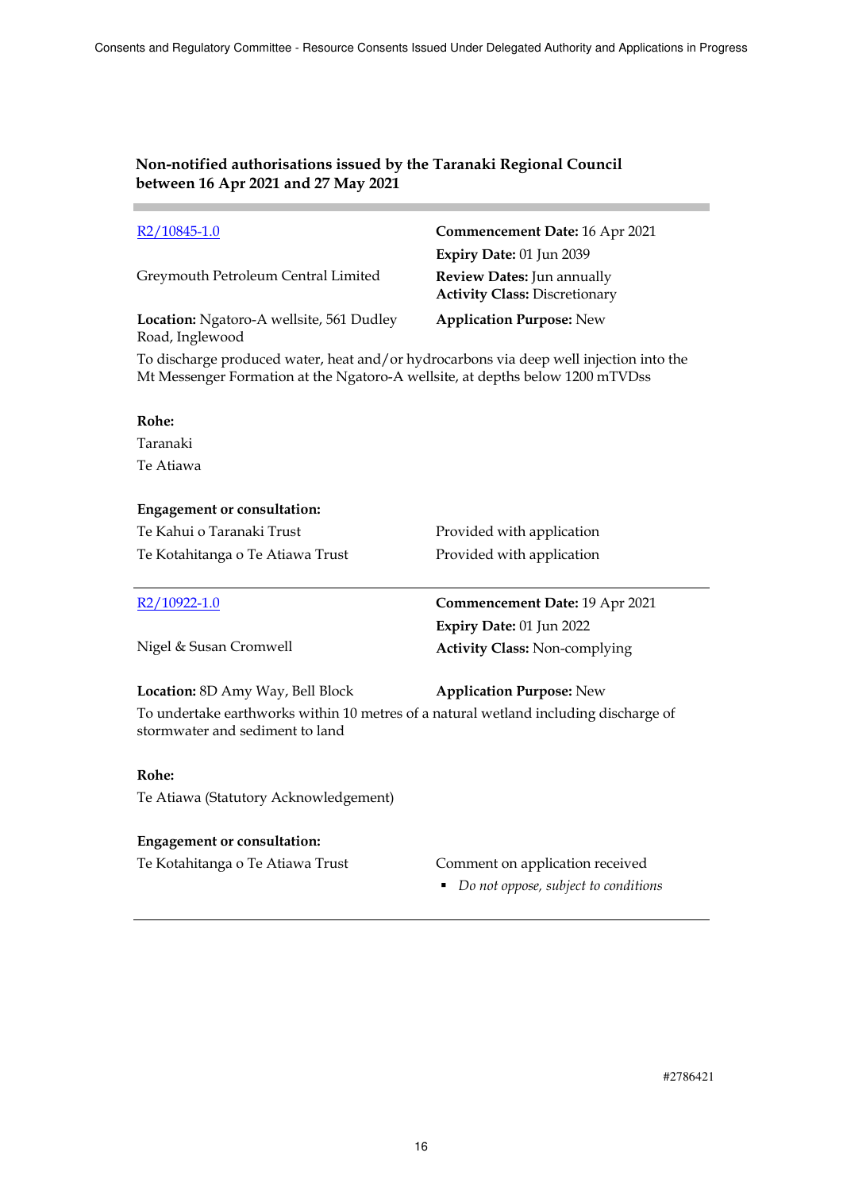| $R2/10845-1.0$                                              | Commencement Date: 16 Apr 2021                                     |
|-------------------------------------------------------------|--------------------------------------------------------------------|
|                                                             | Expiry Date: 01 Jun 2039                                           |
| Greymouth Petroleum Central Limited                         | Review Dates: Jun annually<br><b>Activity Class: Discretionary</b> |
| Location: Ngatoro-A wellsite, 561 Dudley<br>Road, Inglewood | <b>Application Purpose:</b> New                                    |

To discharge produced water, heat and/or hydrocarbons via deep well injection into the Mt Messenger Formation at the Ngatoro-A wellsite, at depths below 1200 mTVDss

#### **Rohe:**

Taranaki Te Atiawa

### **Engagement or consultation:**

| Te Kahui o Taranaki Trust<br>Te Kotahitanga o Te Atiawa Trust | Provided with application<br>Provided with application           |
|---------------------------------------------------------------|------------------------------------------------------------------|
| R2/10922-1.0                                                  | Commencement Date: 19 Apr 2021                                   |
| Nigel & Susan Cromwell                                        | Expiry Date: 01 Jun 2022<br><b>Activity Class: Non-complying</b> |
| Location: 8D Amy Way, Bell Block                              | <b>Application Purpose: New</b>                                  |

To undertake earthworks within 10 metres of a natural wetland including discharge of stormwater and sediment to land

#### **Rohe:**

Te Atiawa (Statutory Acknowledgement)

### **Engagement or consultation:**

### Te Kotahitanga o Te Atiawa Trust Comment on application received

*Do not oppose, subject to conditions*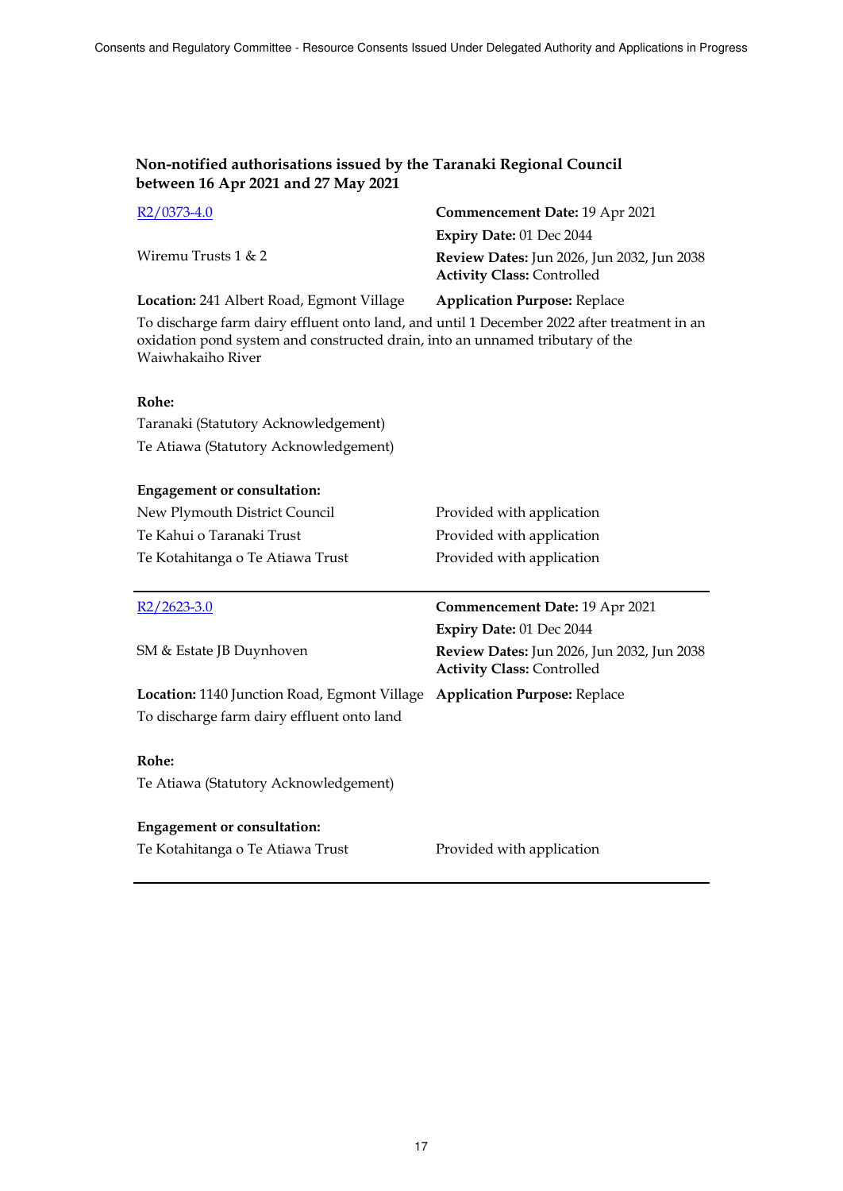| $R2/0373-4.0$                                                                                                                                                                | Commencement Date: 19 Apr 2021                                                  |  |
|------------------------------------------------------------------------------------------------------------------------------------------------------------------------------|---------------------------------------------------------------------------------|--|
|                                                                                                                                                                              | Expiry Date: 01 Dec 2044                                                        |  |
| Wiremu Trusts $1 < 2$                                                                                                                                                        | Review Dates: Jun 2026, Jun 2032, Jun 2038<br><b>Activity Class: Controlled</b> |  |
| Location: 241 Albert Road, Egmont Village                                                                                                                                    | <b>Application Purpose: Replace</b>                                             |  |
| To discharge farm dairy effluent onto land, and until 1 December 2022 after treatment in an<br>oxidation pond system and constructed drain, into an unnamed tributary of the |                                                                                 |  |

Waiwhakaiho River

### **Rohe:**

Taranaki (Statutory Acknowledgement) Te Atiawa (Statutory Acknowledgement)

### **Engagement or consultation:**

| New Plymouth District Council    | Provided with application |
|----------------------------------|---------------------------|
| Te Kahui o Taranaki Trust        | Provided with application |
| Te Kotahitanga o Te Atiawa Trust | Provided with application |

| $R2/2623-3.0$                                       | Commencement Date: 19 Apr 2021                                                  |
|-----------------------------------------------------|---------------------------------------------------------------------------------|
|                                                     | <b>Expiry Date: 01 Dec 2044</b>                                                 |
| SM & Estate JB Duynhoven                            | Review Dates: Jun 2026, Jun 2032, Jun 2038<br><b>Activity Class: Controlled</b> |
| <b>Location:</b> 1140 Junction Road, Egmont Village | <b>Application Purpose: Replace</b>                                             |
| To discharge farm dairy effluent onto land          |                                                                                 |
|                                                     |                                                                                 |
| Rohe:                                               |                                                                                 |
| Te Atiawa (Statutory Acknowledgement)               |                                                                                 |
|                                                     |                                                                                 |
| <b>Engagement or consultation:</b>                  |                                                                                 |
| Te Kotahitanga o Te Atiawa Trust                    | Provided with application                                                       |
|                                                     |                                                                                 |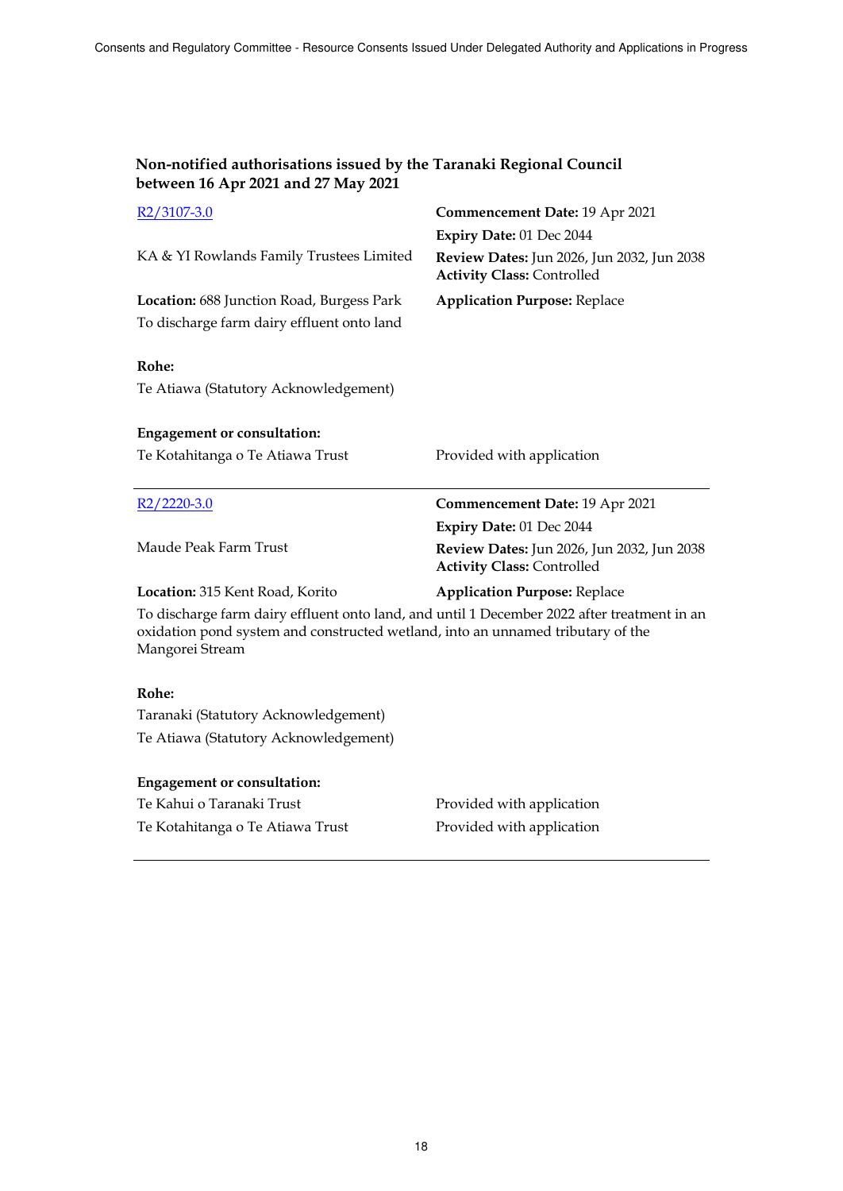| Non-notified authorisations issued by the Taranaki Regional Council<br>between 16 Apr 2021 and 27 May 2021                                                                                        |                                                                                 |  |  |
|---------------------------------------------------------------------------------------------------------------------------------------------------------------------------------------------------|---------------------------------------------------------------------------------|--|--|
| R <sub>2</sub> /3107-3.0                                                                                                                                                                          | Commencement Date: 19 Apr 2021                                                  |  |  |
|                                                                                                                                                                                                   | Expiry Date: 01 Dec 2044                                                        |  |  |
| KA & YI Rowlands Family Trustees Limited                                                                                                                                                          | Review Dates: Jun 2026, Jun 2032, Jun 2038<br><b>Activity Class: Controlled</b> |  |  |
| Location: 688 Junction Road, Burgess Park                                                                                                                                                         | <b>Application Purpose: Replace</b>                                             |  |  |
| To discharge farm dairy effluent onto land                                                                                                                                                        |                                                                                 |  |  |
| Rohe:<br>Te Atiawa (Statutory Acknowledgement)                                                                                                                                                    |                                                                                 |  |  |
| <b>Engagement or consultation:</b>                                                                                                                                                                |                                                                                 |  |  |
| Te Kotahitanga o Te Atiawa Trust                                                                                                                                                                  | Provided with application                                                       |  |  |
|                                                                                                                                                                                                   |                                                                                 |  |  |
| $R2/2220-3.0$                                                                                                                                                                                     | Commencement Date: 19 Apr 2021                                                  |  |  |
|                                                                                                                                                                                                   | Expiry Date: 01 Dec 2044                                                        |  |  |
| Maude Peak Farm Trust                                                                                                                                                                             | Review Dates: Jun 2026, Jun 2032, Jun 2038<br><b>Activity Class: Controlled</b> |  |  |
| Location: 315 Kent Road, Korito                                                                                                                                                                   | <b>Application Purpose: Replace</b>                                             |  |  |
| To discharge farm dairy effluent onto land, and until 1 December 2022 after treatment in an<br>oxidation pond system and constructed wetland, into an unnamed tributary of the<br>Mangorei Stream |                                                                                 |  |  |
| Rohe:<br>Taranaki (Statutory Acknowledgement)                                                                                                                                                     |                                                                                 |  |  |
| Te Atiawa (Statutory Acknowledgement)                                                                                                                                                             |                                                                                 |  |  |

## **Engagement or consultation:**

| Te Kahui o Taranaki Trust        |  |
|----------------------------------|--|
| Te Kotahitanga o Te Atiawa Trust |  |

Provided with application Provided with application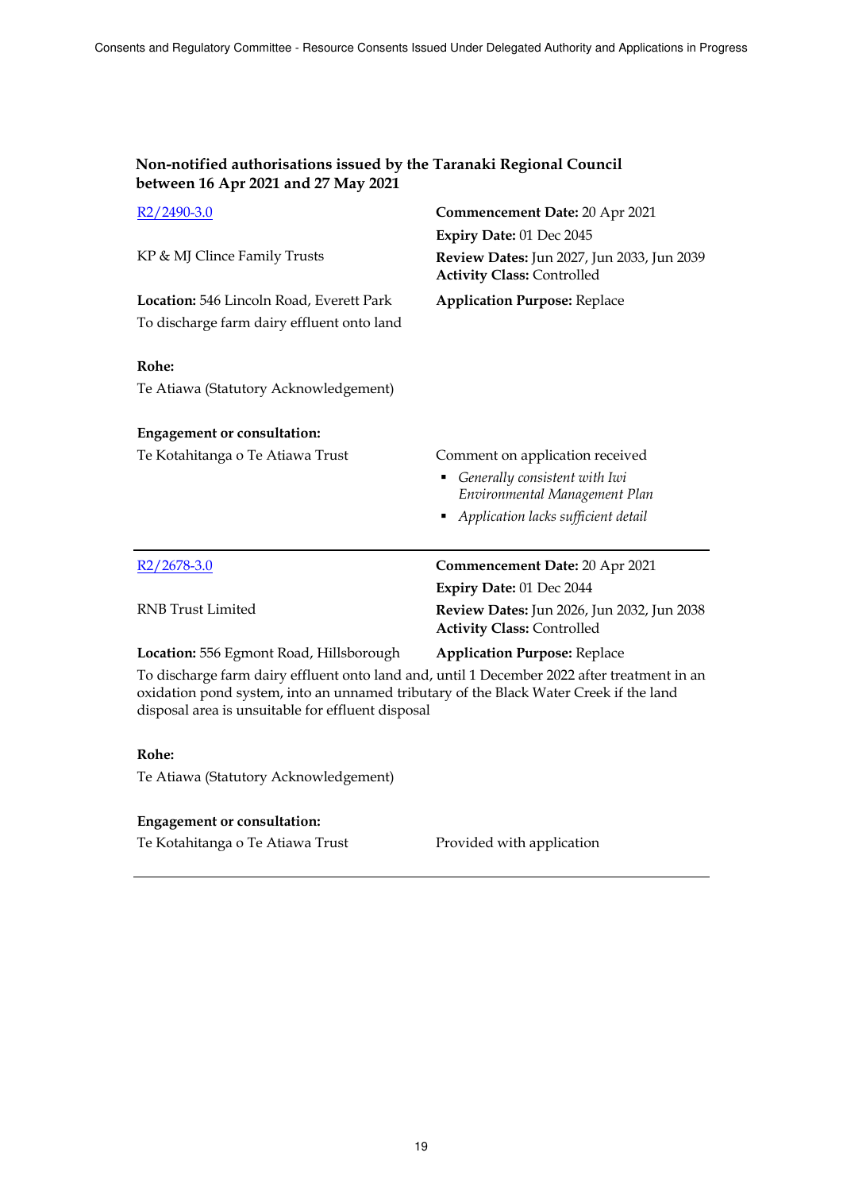| Non-notified authorisations issued by the Taranaki Regional Council |  |
|---------------------------------------------------------------------|--|
| between 16 Apr 2021 and 27 May 2021                                 |  |

| $R2/2490-3.0$                                                                                                                                                                                                                             | Commencement Date: 20 Apr 2021                                                  |
|-------------------------------------------------------------------------------------------------------------------------------------------------------------------------------------------------------------------------------------------|---------------------------------------------------------------------------------|
|                                                                                                                                                                                                                                           | Expiry Date: 01 Dec 2045                                                        |
| KP & MJ Clince Family Trusts                                                                                                                                                                                                              | Review Dates: Jun 2027, Jun 2033, Jun 2039<br><b>Activity Class: Controlled</b> |
| Location: 546 Lincoln Road, Everett Park                                                                                                                                                                                                  | <b>Application Purpose: Replace</b>                                             |
| To discharge farm dairy effluent onto land                                                                                                                                                                                                |                                                                                 |
| Rohe:                                                                                                                                                                                                                                     |                                                                                 |
| Te Atiawa (Statutory Acknowledgement)                                                                                                                                                                                                     |                                                                                 |
| <b>Engagement or consultation:</b>                                                                                                                                                                                                        |                                                                                 |
| Te Kotahitanga o Te Atiawa Trust                                                                                                                                                                                                          | Comment on application received                                                 |
|                                                                                                                                                                                                                                           | Generally consistent with Iwi<br>٠                                              |
|                                                                                                                                                                                                                                           | Environmental Management Plan                                                   |
|                                                                                                                                                                                                                                           | Application lacks sufficient detail                                             |
| $R2/2678-3.0$                                                                                                                                                                                                                             | Commencement Date: 20 Apr 2021                                                  |
|                                                                                                                                                                                                                                           | Expiry Date: 01 Dec 2044                                                        |
| <b>RNB</b> Trust Limited                                                                                                                                                                                                                  | Review Dates: Jun 2026, Jun 2032, Jun 2038<br><b>Activity Class: Controlled</b> |
| Location: 556 Egmont Road, Hillsborough                                                                                                                                                                                                   | <b>Application Purpose: Replace</b>                                             |
| To discharge farm dairy effluent onto land and, until 1 December 2022 after treatment in an<br>oxidation pond system, into an unnamed tributary of the Black Water Creek if the land<br>disposal area is unsuitable for effluent disposal |                                                                                 |
| Rohe:                                                                                                                                                                                                                                     |                                                                                 |
| Te Atiawa (Statutory Acknowledgement)                                                                                                                                                                                                     |                                                                                 |
| <b>Engagement or consultation:</b>                                                                                                                                                                                                        |                                                                                 |

Te Kotahitanga o Te Atiawa Trust Provided with application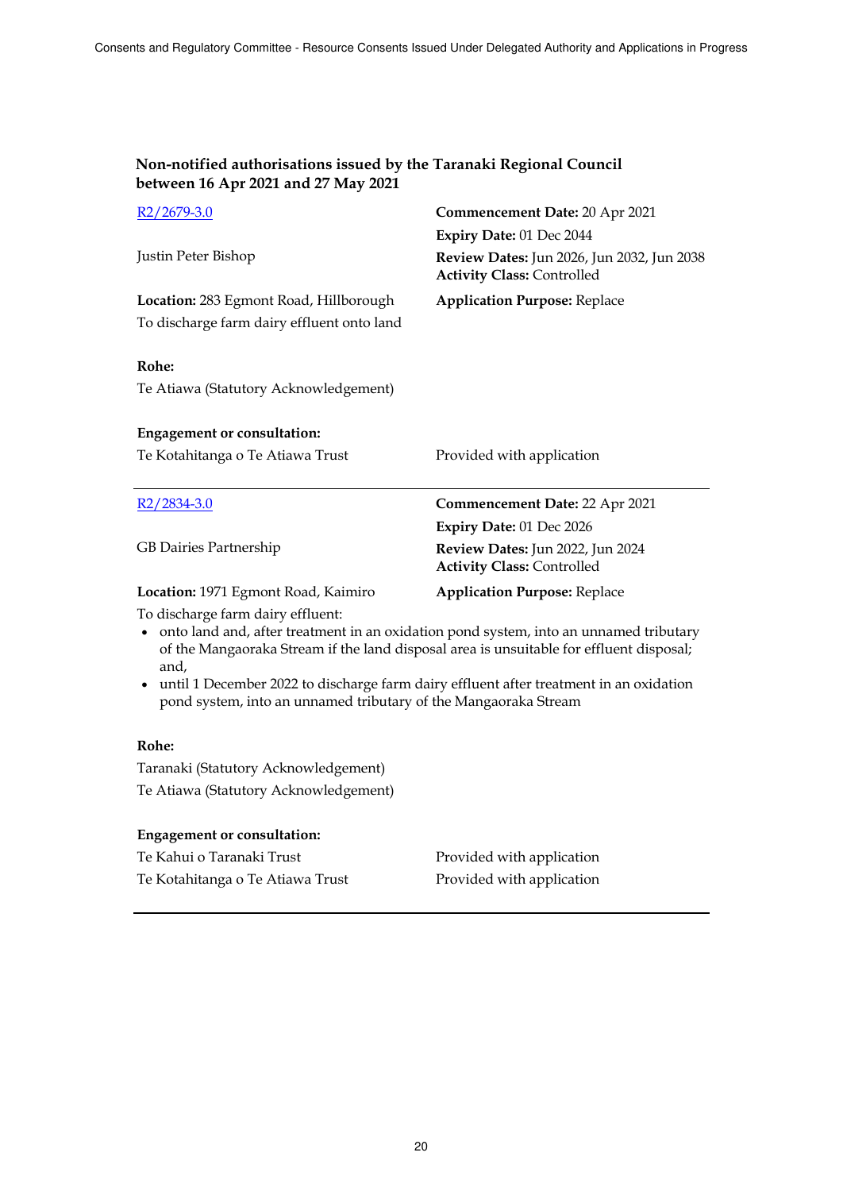| Non-notified authorisations issued by the Taranaki Regional Council |  |
|---------------------------------------------------------------------|--|
| between 16 Apr 2021 and 27 May 2021                                 |  |

| $R2/2679-3.0$                                                                                                                                                                                                                                                                                                                                                                                             | Commencement Date: 20 Apr 2021                                                  |
|-----------------------------------------------------------------------------------------------------------------------------------------------------------------------------------------------------------------------------------------------------------------------------------------------------------------------------------------------------------------------------------------------------------|---------------------------------------------------------------------------------|
|                                                                                                                                                                                                                                                                                                                                                                                                           | Expiry Date: 01 Dec 2044                                                        |
| Justin Peter Bishop                                                                                                                                                                                                                                                                                                                                                                                       | Review Dates: Jun 2026, Jun 2032, Jun 2038<br><b>Activity Class: Controlled</b> |
| Location: 283 Egmont Road, Hillborough                                                                                                                                                                                                                                                                                                                                                                    | <b>Application Purpose: Replace</b>                                             |
| To discharge farm dairy effluent onto land                                                                                                                                                                                                                                                                                                                                                                |                                                                                 |
| Rohe:<br>Te Atiawa (Statutory Acknowledgement)                                                                                                                                                                                                                                                                                                                                                            |                                                                                 |
| <b>Engagement or consultation:</b>                                                                                                                                                                                                                                                                                                                                                                        |                                                                                 |
| Te Kotahitanga o Te Atiawa Trust                                                                                                                                                                                                                                                                                                                                                                          | Provided with application                                                       |
|                                                                                                                                                                                                                                                                                                                                                                                                           |                                                                                 |
|                                                                                                                                                                                                                                                                                                                                                                                                           |                                                                                 |
| $R2/2834-3.0$                                                                                                                                                                                                                                                                                                                                                                                             | Commencement Date: 22 Apr 2021                                                  |
|                                                                                                                                                                                                                                                                                                                                                                                                           | Expiry Date: 01 Dec 2026                                                        |
| GB Dairies Partnership                                                                                                                                                                                                                                                                                                                                                                                    | Review Dates: Jun 2022, Jun 2024<br><b>Activity Class: Controlled</b>           |
| Location: 1971 Egmont Road, Kaimiro                                                                                                                                                                                                                                                                                                                                                                       | <b>Application Purpose: Replace</b>                                             |
| To discharge farm dairy effluent:<br>onto land and, after treatment in an oxidation pond system, into an unnamed tributary<br>$\bullet$<br>of the Mangaoraka Stream if the land disposal area is unsuitable for effluent disposal;<br>and,<br>• until 1 December 2022 to discharge farm dairy effluent after treatment in an oxidation<br>pond system, into an unnamed tributary of the Mangaoraka Stream |                                                                                 |
| Rohe:                                                                                                                                                                                                                                                                                                                                                                                                     |                                                                                 |

Te Atiawa (Statutory Acknowledgement)

| <b>Engagement or consultation:</b> |                           |
|------------------------------------|---------------------------|
| Te Kahui o Taranaki Trust          | Provided with application |
| Te Kotahitanga o Te Atiawa Trust   | Provided with application |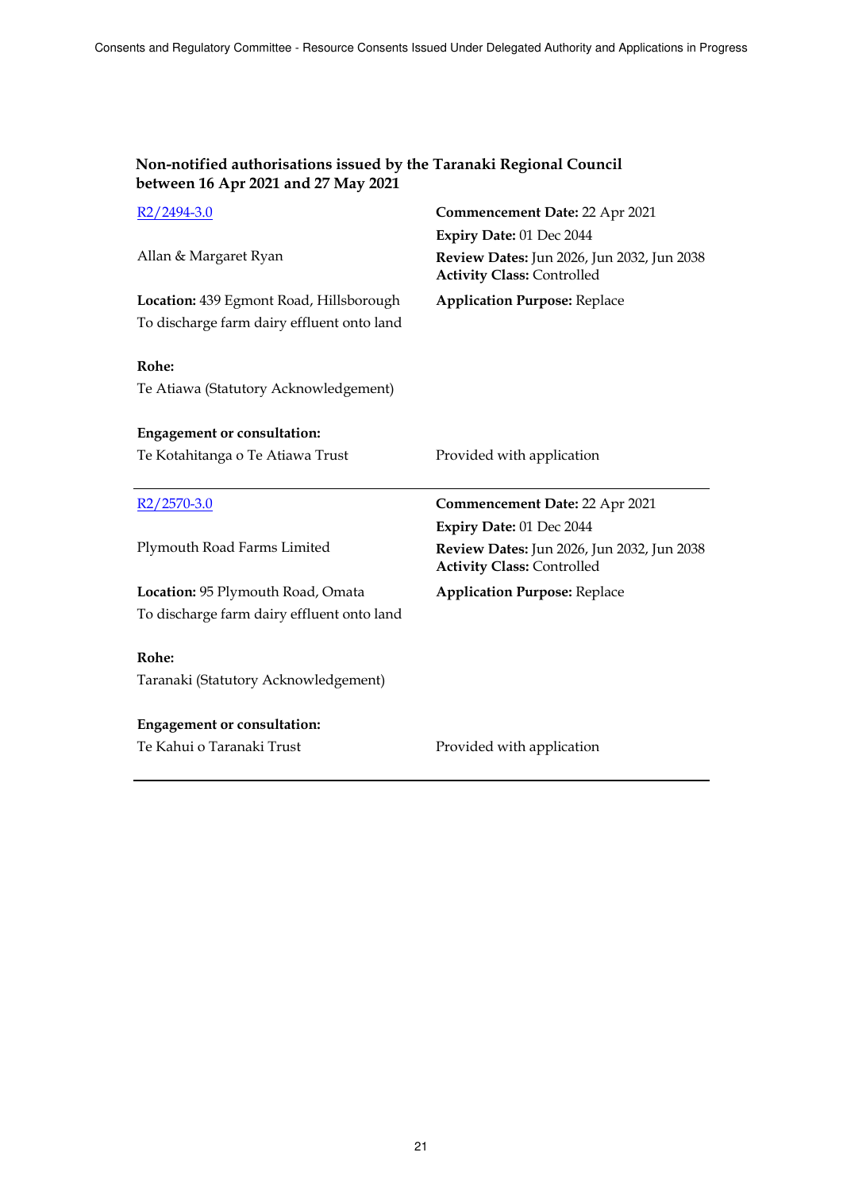| Non-notified authorisations issued by the Taranaki Regional Council<br>between 16 Apr 2021 and 27 May 2021 |                                                                                                             |
|------------------------------------------------------------------------------------------------------------|-------------------------------------------------------------------------------------------------------------|
| $R2/2494-3.0$                                                                                              | Commencement Date: 22 Apr 2021                                                                              |
|                                                                                                            | Expiry Date: 01 Dec 2044                                                                                    |
| Allan & Margaret Ryan                                                                                      | Review Dates: Jun 2026, Jun 2032, Jun 2038<br><b>Activity Class: Controlled</b>                             |
| Location: 439 Egmont Road, Hillsborough                                                                    | <b>Application Purpose: Replace</b>                                                                         |
| To discharge farm dairy effluent onto land                                                                 |                                                                                                             |
| Rohe:<br>Te Atiawa (Statutory Acknowledgement)                                                             |                                                                                                             |
| <b>Engagement or consultation:</b>                                                                         |                                                                                                             |
| Te Kotahitanga o Te Atiawa Trust                                                                           | Provided with application                                                                                   |
|                                                                                                            |                                                                                                             |
| $R2/2570-3.0$                                                                                              | Commencement Date: 22 Apr 2021                                                                              |
| Plymouth Road Farms Limited                                                                                | Expiry Date: 01 Dec 2044<br>Review Dates: Jun 2026, Jun 2032, Jun 2038<br><b>Activity Class: Controlled</b> |
| Location: 95 Plymouth Road, Omata                                                                          | <b>Application Purpose: Replace</b>                                                                         |
| To discharge farm dairy effluent onto land                                                                 |                                                                                                             |
| Rohe:<br>Taranaki (Statutory Acknowledgement)                                                              |                                                                                                             |
|                                                                                                            |                                                                                                             |
| <b>Engagement or consultation:</b>                                                                         |                                                                                                             |
| Te Kahui o Taranaki Trust                                                                                  | Provided with application                                                                                   |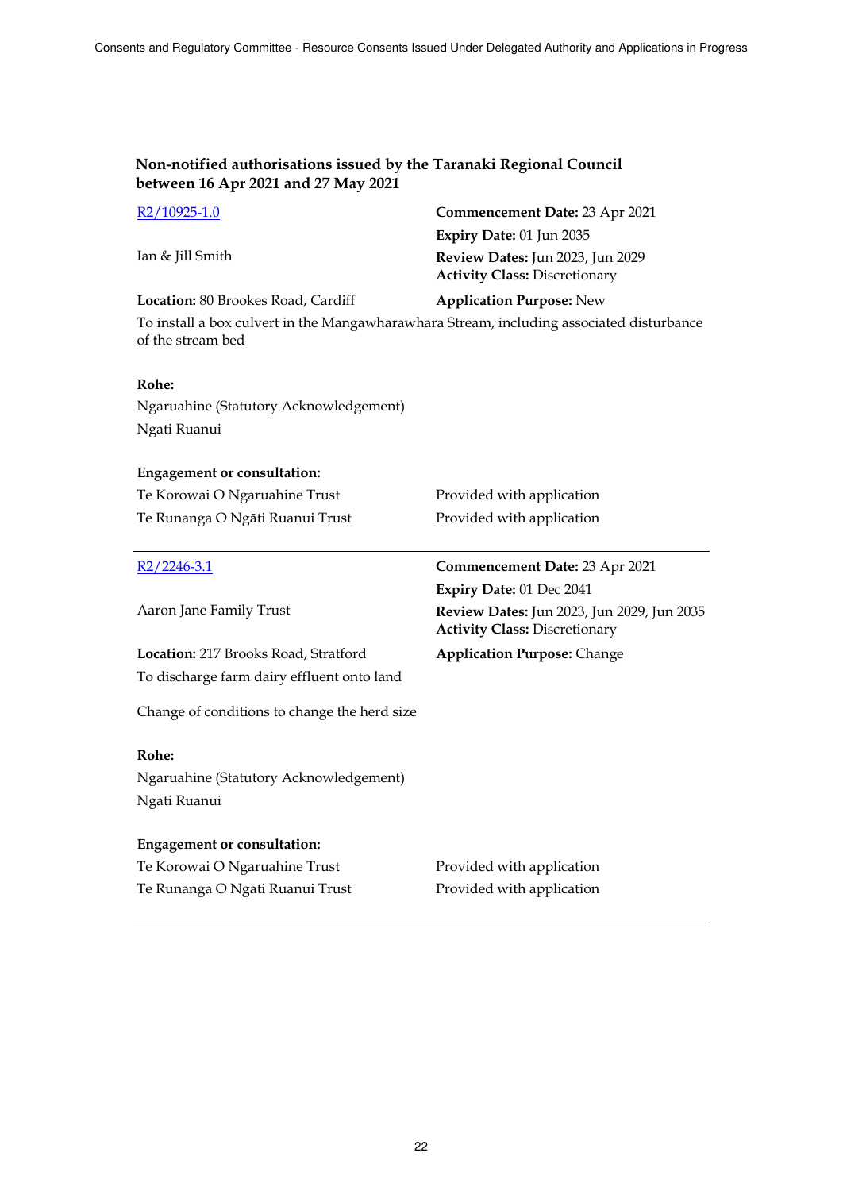| $R2/10925-1.0$                                                                                                | Commencement Date: 23 Apr 2021                                                     |
|---------------------------------------------------------------------------------------------------------------|------------------------------------------------------------------------------------|
|                                                                                                               | Expiry Date: 01 Jun 2035                                                           |
| Ian & Jill Smith                                                                                              | Review Dates: Jun 2023, Jun 2029<br><b>Activity Class: Discretionary</b>           |
| Location: 80 Brookes Road, Cardiff                                                                            | <b>Application Purpose: New</b>                                                    |
| To install a box culvert in the Mangawharawhara Stream, including associated disturbance<br>of the stream bed |                                                                                    |
| Rohe:                                                                                                         |                                                                                    |
| Ngaruahine (Statutory Acknowledgement)                                                                        |                                                                                    |
| Ngati Ruanui                                                                                                  |                                                                                    |
| <b>Engagement or consultation:</b>                                                                            |                                                                                    |
|                                                                                                               |                                                                                    |
| Te Korowai O Ngaruahine Trust                                                                                 | Provided with application                                                          |
| Te Runanga O Ngāti Ruanui Trust                                                                               | Provided with application                                                          |
|                                                                                                               |                                                                                    |
| $R2/2246-3.1$                                                                                                 | <b>Commencement Date: 23 Apr 2021</b>                                              |
|                                                                                                               | Expiry Date: 01 Dec 2041                                                           |
| Aaron Jane Family Trust                                                                                       | Review Dates: Jun 2023, Jun 2029, Jun 2035<br><b>Activity Class: Discretionary</b> |
| Location: 217 Brooks Road, Stratford                                                                          | <b>Application Purpose: Change</b>                                                 |
| To discharge farm dairy effluent onto land                                                                    |                                                                                    |
| Change of conditions to change the herd size                                                                  |                                                                                    |
| Rohe:                                                                                                         |                                                                                    |
|                                                                                                               |                                                                                    |
| Ngaruahine (Statutory Acknowledgement)<br>Ngati Ruanui                                                        |                                                                                    |
|                                                                                                               |                                                                                    |
| <b>Engagement or consultation:</b><br>Te Korowai O Ngaruahine Trust                                           | Provided with application                                                          |

Te Runanga O Ngāti Ruanui Trust Provided with application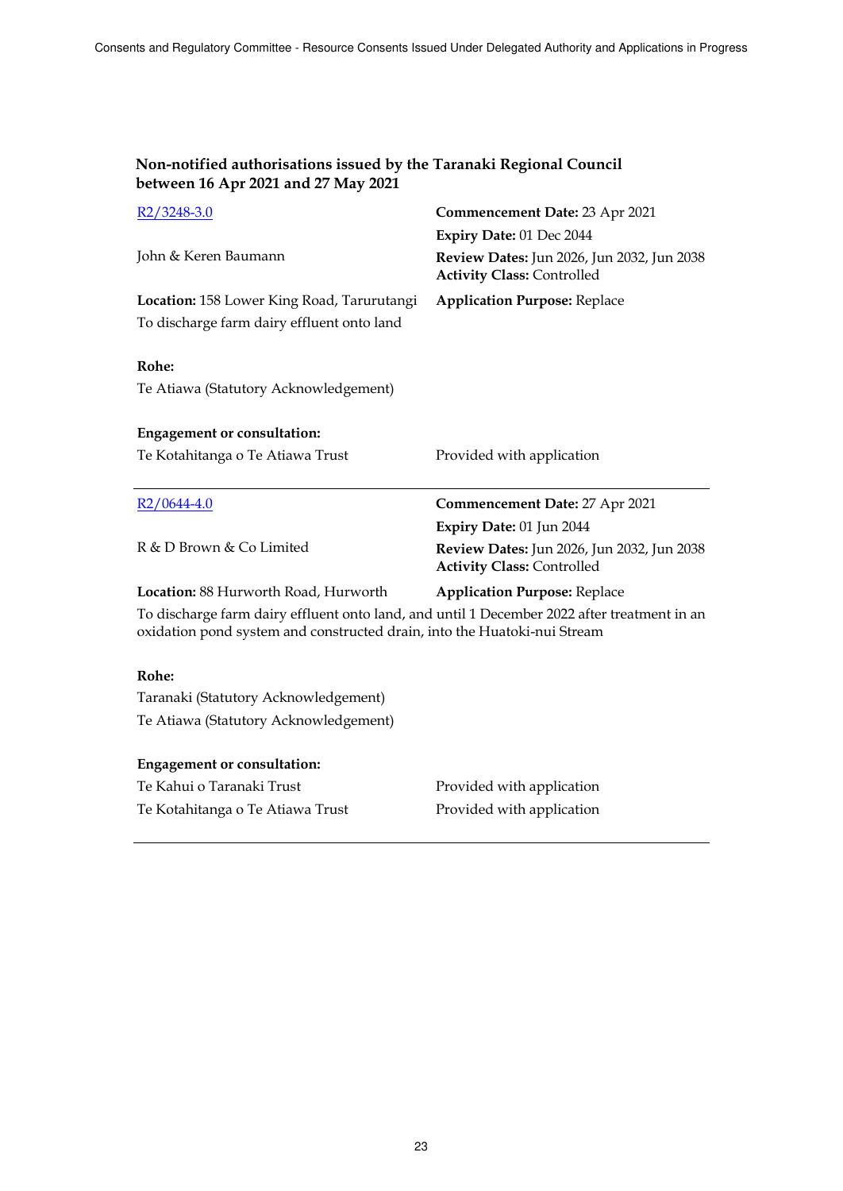| $R2/3248-3.0$                                                                                                                                                           | <b>Commencement Date: 23 Apr 2021</b>                                           |
|-------------------------------------------------------------------------------------------------------------------------------------------------------------------------|---------------------------------------------------------------------------------|
|                                                                                                                                                                         | Expiry Date: 01 Dec 2044                                                        |
| John & Keren Baumann                                                                                                                                                    | Review Dates: Jun 2026, Jun 2032, Jun 2038<br><b>Activity Class: Controlled</b> |
| Location: 158 Lower King Road, Tarurutangi                                                                                                                              | <b>Application Purpose: Replace</b>                                             |
| To discharge farm dairy effluent onto land                                                                                                                              |                                                                                 |
| Rohe:                                                                                                                                                                   |                                                                                 |
| Te Atiawa (Statutory Acknowledgement)                                                                                                                                   |                                                                                 |
| <b>Engagement or consultation:</b>                                                                                                                                      |                                                                                 |
| Te Kotahitanga o Te Atiawa Trust                                                                                                                                        | Provided with application                                                       |
|                                                                                                                                                                         |                                                                                 |
| $R2/0644-4.0$                                                                                                                                                           | Commencement Date: 27 Apr 2021                                                  |
|                                                                                                                                                                         | Expiry Date: 01 Jun 2044                                                        |
| R & D Brown & Co Limited                                                                                                                                                | Review Dates: Jun 2026, Jun 2032, Jun 2038<br><b>Activity Class: Controlled</b> |
| Location: 88 Hurworth Road, Hurworth                                                                                                                                    | <b>Application Purpose: Replace</b>                                             |
| To discharge farm dairy effluent onto land, and until 1 December 2022 after treatment in an<br>oxidation pond system and constructed drain, into the Huatoki-nui Stream |                                                                                 |
| Rohe:                                                                                                                                                                   |                                                                                 |
| Taranaki (Statutory Acknowledgement)                                                                                                                                    |                                                                                 |
| Te Atiawa (Statutory Acknowledgement)                                                                                                                                   |                                                                                 |
| <b>Engagement or consultation:</b>                                                                                                                                      |                                                                                 |

Te Kahui o Taranaki Trust Trust Provided with application Te Kotahitanga o Te Atiawa Trust Provided with application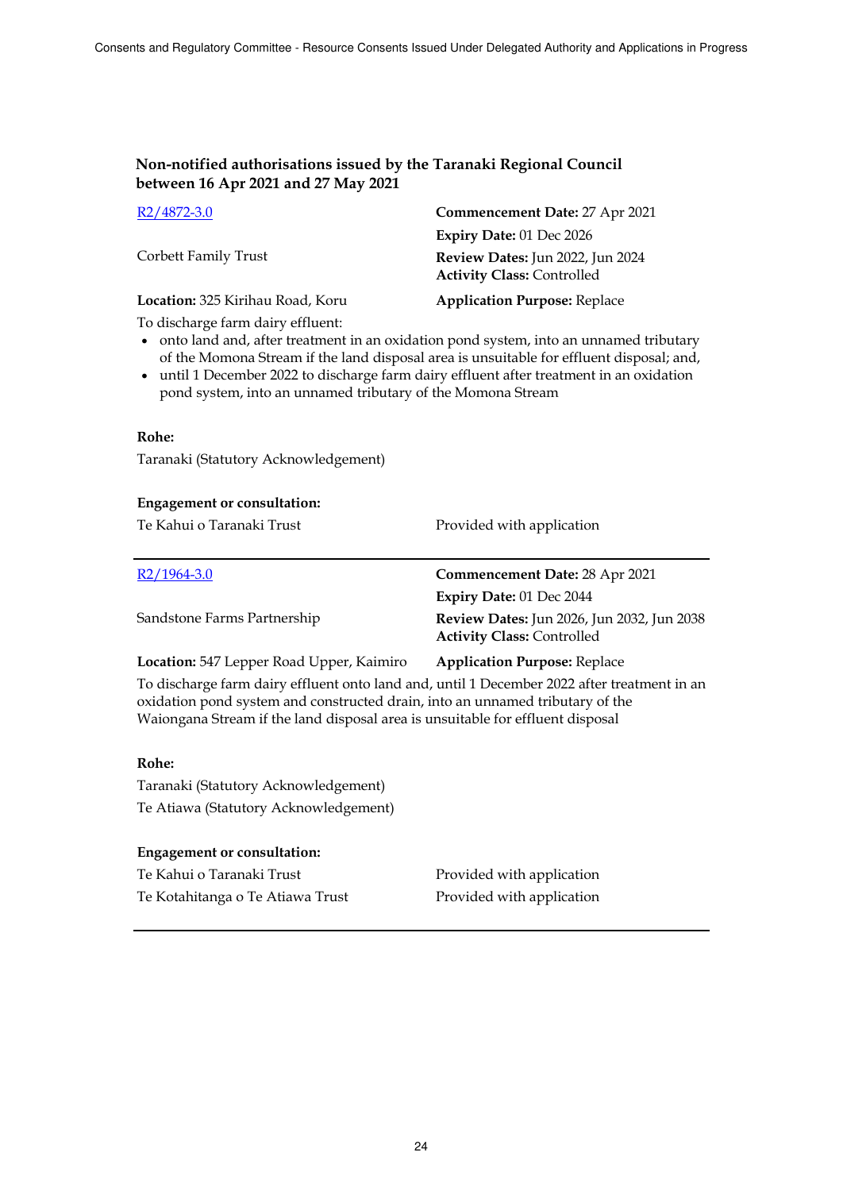| R <sub>2</sub> /4872-3.0         | Commencement Date: 27 Apr 2021                                        |
|----------------------------------|-----------------------------------------------------------------------|
|                                  | Expiry Date: 01 Dec 2026                                              |
| Corbett Family Trust             | Review Dates: Jun 2022, Jun 2024<br><b>Activity Class: Controlled</b> |
| Location: 325 Kirihau Road, Koru | <b>Application Purpose: Replace</b>                                   |

To discharge farm dairy effluent:

- onto land and, after treatment in an oxidation pond system, into an unnamed tributary of the Momona Stream if the land disposal area is unsuitable for effluent disposal; and,
- until 1 December 2022 to discharge farm dairy effluent after treatment in an oxidation pond system, into an unnamed tributary of the Momona Stream

#### **Rohe:**

Taranaki (Statutory Acknowledgement)

# **Engagement or consultation:** Te Kahui o Taranaki Trust **Provided with application** R2/1964-3.0 **Commencement Date:** 28 Apr 2021 Sandstone Farms Partnership **Expiry Date:** 01 Dec 2044 **Review Dates:** Jun 2026, Jun 2032, Jun 2038 **Activity Class:** Controlled **Location:** 547 Lepper Road Upper, Kaimiro **Application Purpose:** Replace

To discharge farm dairy effluent onto land and, until 1 December 2022 after treatment in an oxidation pond system and constructed drain, into an unnamed tributary of the Waiongana Stream if the land disposal area is unsuitable for effluent disposal

#### **Rohe:**

Taranaki (Statutory Acknowledgement) Te Atiawa (Statutory Acknowledgement)

#### **Engagement or consultation:**

| Te Kahui o Taranaki Trust        | Provided with application |
|----------------------------------|---------------------------|
| Te Kotahitanga o Te Atiawa Trust | Provided with application |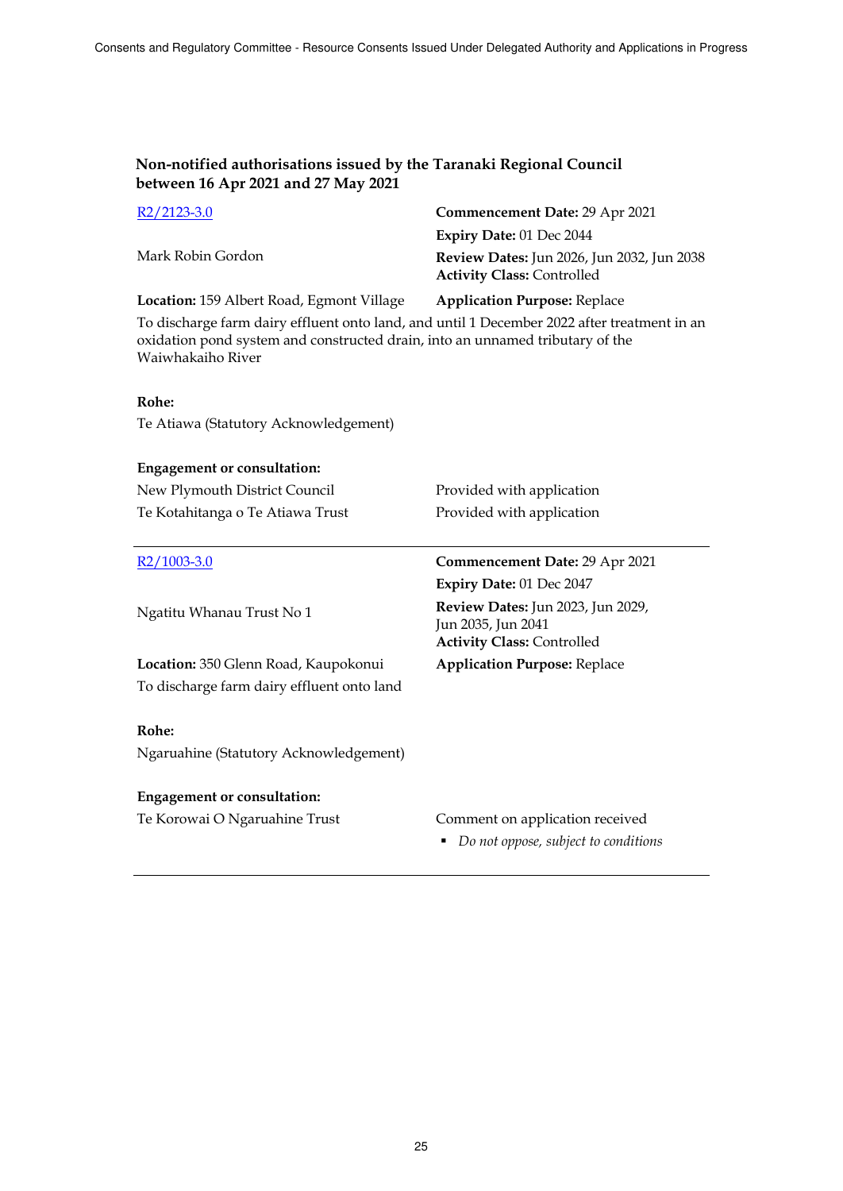| R <sub>2</sub> /2123-3.0                                                                                                                                                                          | Commencement Date: 29 Apr 2021                                                               |
|---------------------------------------------------------------------------------------------------------------------------------------------------------------------------------------------------|----------------------------------------------------------------------------------------------|
|                                                                                                                                                                                                   | Expiry Date: 01 Dec 2044                                                                     |
| Mark Robin Gordon                                                                                                                                                                                 | Review Dates: Jun 2026, Jun 2032, Jun 2038<br><b>Activity Class: Controlled</b>              |
| Location: 159 Albert Road, Egmont Village                                                                                                                                                         | <b>Application Purpose: Replace</b>                                                          |
| To discharge farm dairy effluent onto land, and until 1 December 2022 after treatment in an<br>oxidation pond system and constructed drain, into an unnamed tributary of the<br>Waiwhakaiho River |                                                                                              |
| Rohe:                                                                                                                                                                                             |                                                                                              |
| Te Atiawa (Statutory Acknowledgement)                                                                                                                                                             |                                                                                              |
|                                                                                                                                                                                                   |                                                                                              |
| <b>Engagement or consultation:</b>                                                                                                                                                                |                                                                                              |
| New Plymouth District Council                                                                                                                                                                     | Provided with application                                                                    |
| Te Kotahitanga o Te Atiawa Trust                                                                                                                                                                  | Provided with application                                                                    |
| $R2/1003-3.0$                                                                                                                                                                                     | <b>Commencement Date: 29 Apr 2021</b>                                                        |
|                                                                                                                                                                                                   | Expiry Date: 01 Dec 2047                                                                     |
| Ngatitu Whanau Trust No 1                                                                                                                                                                         | Review Dates: Jun 2023, Jun 2029,<br>Jun 2035, Jun 2041<br><b>Activity Class: Controlled</b> |
| Location: 350 Glenn Road, Kaupokonui                                                                                                                                                              | <b>Application Purpose: Replace</b>                                                          |
| To discharge farm dairy effluent onto land                                                                                                                                                        |                                                                                              |
| Rohe:                                                                                                                                                                                             |                                                                                              |
| Ngaruahine (Statutory Acknowledgement)                                                                                                                                                            |                                                                                              |
| <b>Engagement or consultation:</b>                                                                                                                                                                |                                                                                              |

Te Korowai O Ngaruahine Trust Comment on application received

- 
- *Do not oppose, subject to conditions*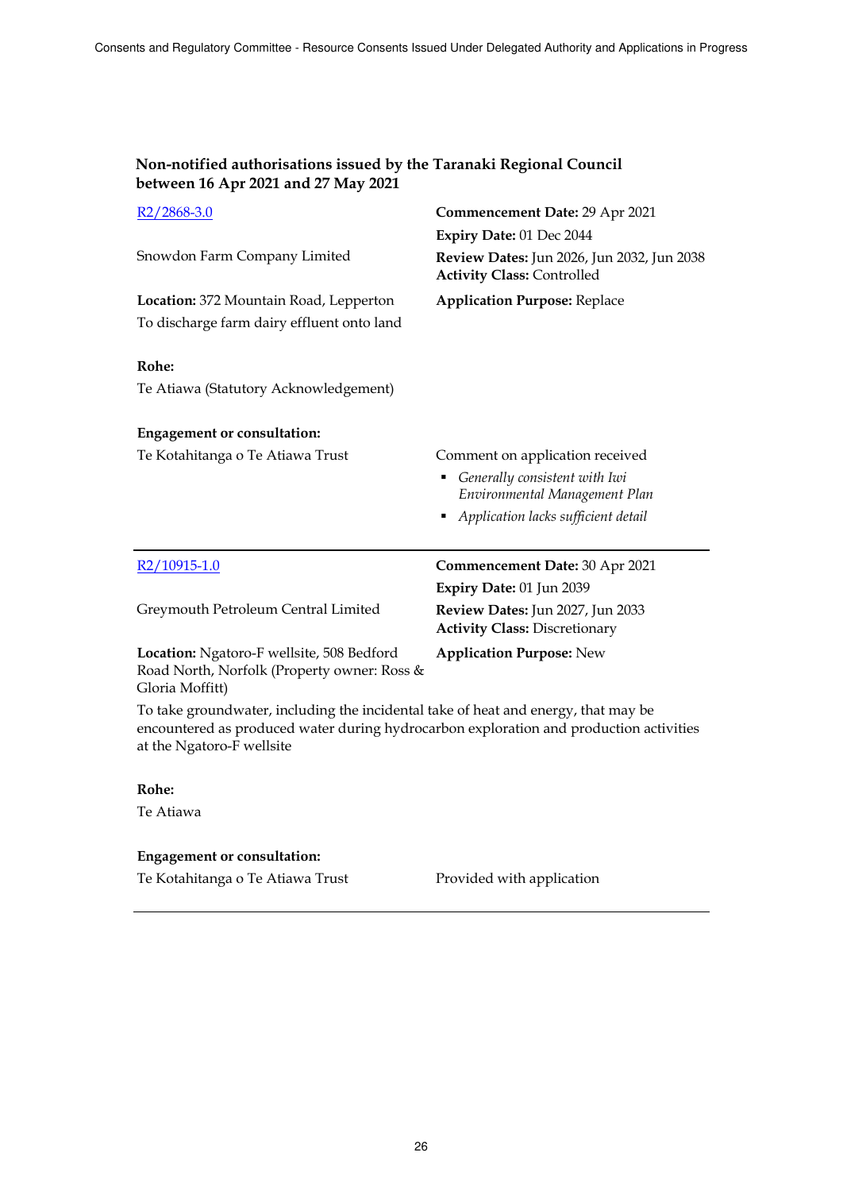| Non-notified authorisations issued by the Taranaki Regional Council |
|---------------------------------------------------------------------|
| between 16 Apr 2021 and 27 May 2021                                 |

| R <sub>2</sub> /2868-3.0                                                                                                                                                                                  | <b>Commencement Date: 29 Apr 2021</b>                                           |
|-----------------------------------------------------------------------------------------------------------------------------------------------------------------------------------------------------------|---------------------------------------------------------------------------------|
|                                                                                                                                                                                                           | Expiry Date: 01 Dec 2044                                                        |
| Snowdon Farm Company Limited                                                                                                                                                                              | Review Dates: Jun 2026, Jun 2032, Jun 2038<br><b>Activity Class: Controlled</b> |
| Location: 372 Mountain Road, Lepperton                                                                                                                                                                    | <b>Application Purpose: Replace</b>                                             |
| To discharge farm dairy effluent onto land                                                                                                                                                                |                                                                                 |
| Rohe:                                                                                                                                                                                                     |                                                                                 |
| Te Atiawa (Statutory Acknowledgement)                                                                                                                                                                     |                                                                                 |
| <b>Engagement or consultation:</b>                                                                                                                                                                        |                                                                                 |
| Te Kotahitanga o Te Atiawa Trust                                                                                                                                                                          | Comment on application received                                                 |
|                                                                                                                                                                                                           | Generally consistent with Iwi<br>Environmental Management Plan                  |
|                                                                                                                                                                                                           | Application lacks sufficient detail                                             |
| $R2/10915-1.0$                                                                                                                                                                                            | <b>Commencement Date: 30 Apr 2021</b>                                           |
|                                                                                                                                                                                                           | Expiry Date: 01 Jun 2039                                                        |
| Greymouth Petroleum Central Limited                                                                                                                                                                       | Review Dates: Jun 2027, Jun 2033<br><b>Activity Class: Discretionary</b>        |
| Location: Ngatoro-F wellsite, 508 Bedford<br>Road North, Norfolk (Property owner: Ross &<br>Gloria Moffitt)                                                                                               | <b>Application Purpose: New</b>                                                 |
| To take groundwater, including the incidental take of heat and energy, that may be<br>encountered as produced water during hydrocarbon exploration and production activities<br>at the Ngatoro-F wellsite |                                                                                 |

## **Rohe:**

Te Atiawa

## **Engagement or consultation:**

Te Kotahitanga o Te Atiawa Trust Provided with application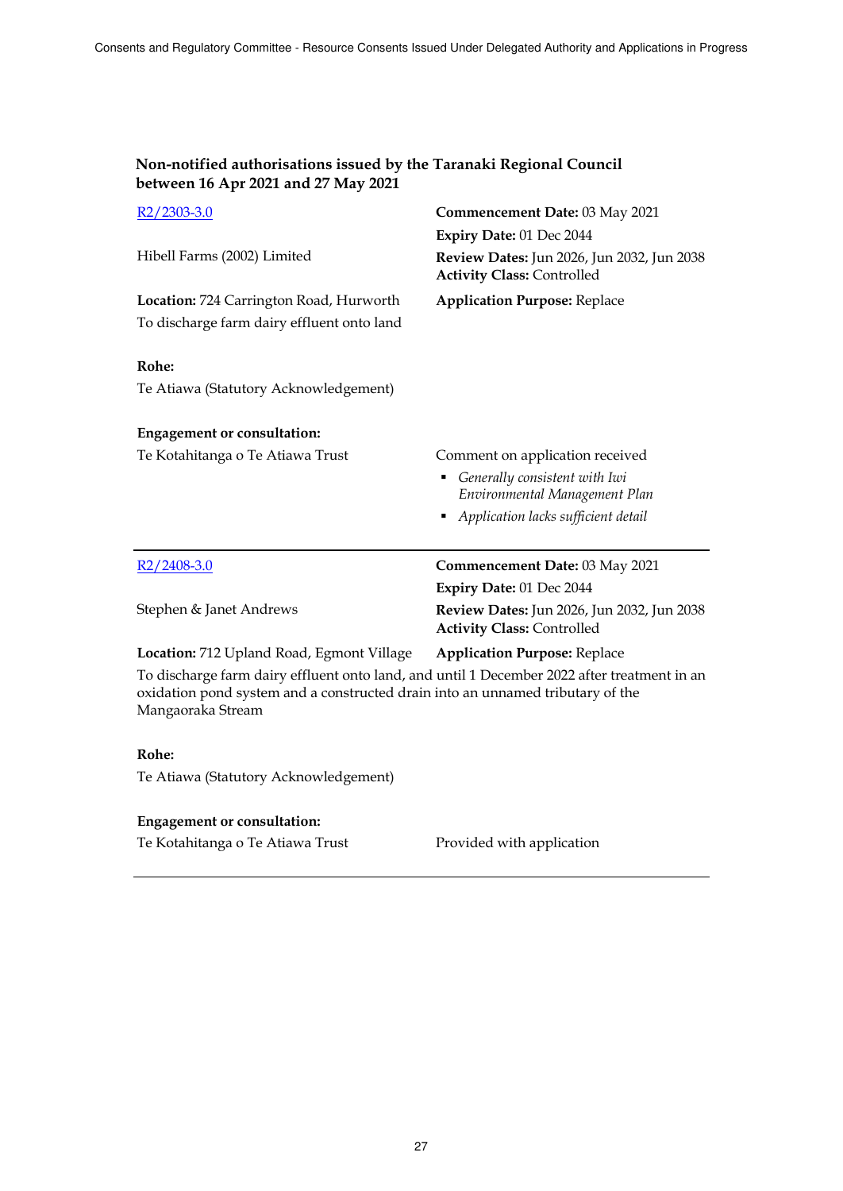| Non-notified authorisations issued by the Taranaki Regional Council |
|---------------------------------------------------------------------|
| between 16 Apr 2021 and 27 May 2021                                 |

| $R2/2303-3.0$                                                                                                                                                                                      | Commencement Date: 03 May 2021                                                  |
|----------------------------------------------------------------------------------------------------------------------------------------------------------------------------------------------------|---------------------------------------------------------------------------------|
|                                                                                                                                                                                                    | Expiry Date: 01 Dec 2044                                                        |
| Hibell Farms (2002) Limited                                                                                                                                                                        | Review Dates: Jun 2026, Jun 2032, Jun 2038<br><b>Activity Class: Controlled</b> |
| Location: 724 Carrington Road, Hurworth                                                                                                                                                            | <b>Application Purpose: Replace</b>                                             |
| To discharge farm dairy effluent onto land                                                                                                                                                         |                                                                                 |
| Rohe:                                                                                                                                                                                              |                                                                                 |
| Te Atiawa (Statutory Acknowledgement)                                                                                                                                                              |                                                                                 |
| <b>Engagement or consultation:</b>                                                                                                                                                                 |                                                                                 |
| Te Kotahitanga o Te Atiawa Trust                                                                                                                                                                   | Comment on application received                                                 |
|                                                                                                                                                                                                    | Generally consistent with Iwi                                                   |
|                                                                                                                                                                                                    | Environmental Management Plan                                                   |
|                                                                                                                                                                                                    | Application lacks sufficient detail                                             |
| $R2/2408-3.0$                                                                                                                                                                                      | <b>Commencement Date: 03 May 2021</b>                                           |
|                                                                                                                                                                                                    | Expiry Date: 01 Dec 2044                                                        |
| Stephen & Janet Andrews                                                                                                                                                                            | Review Dates: Jun 2026, Jun 2032, Jun 2038<br><b>Activity Class: Controlled</b> |
| Location: 712 Upland Road, Egmont Village                                                                                                                                                          | <b>Application Purpose: Replace</b>                                             |
| To discharge farm dairy effluent onto land, and until 1 December 2022 after treatment in an<br>oxidation pond system and a constructed drain into an unnamed tributary of the<br>Mangaoraka Stream |                                                                                 |
| Rohe:                                                                                                                                                                                              |                                                                                 |
| Te Atiawa (Statutory Acknowledgement)                                                                                                                                                              |                                                                                 |
| <b>Engagement or consultation:</b>                                                                                                                                                                 |                                                                                 |

Te Kotahitanga o Te Atiawa Trust Provided with application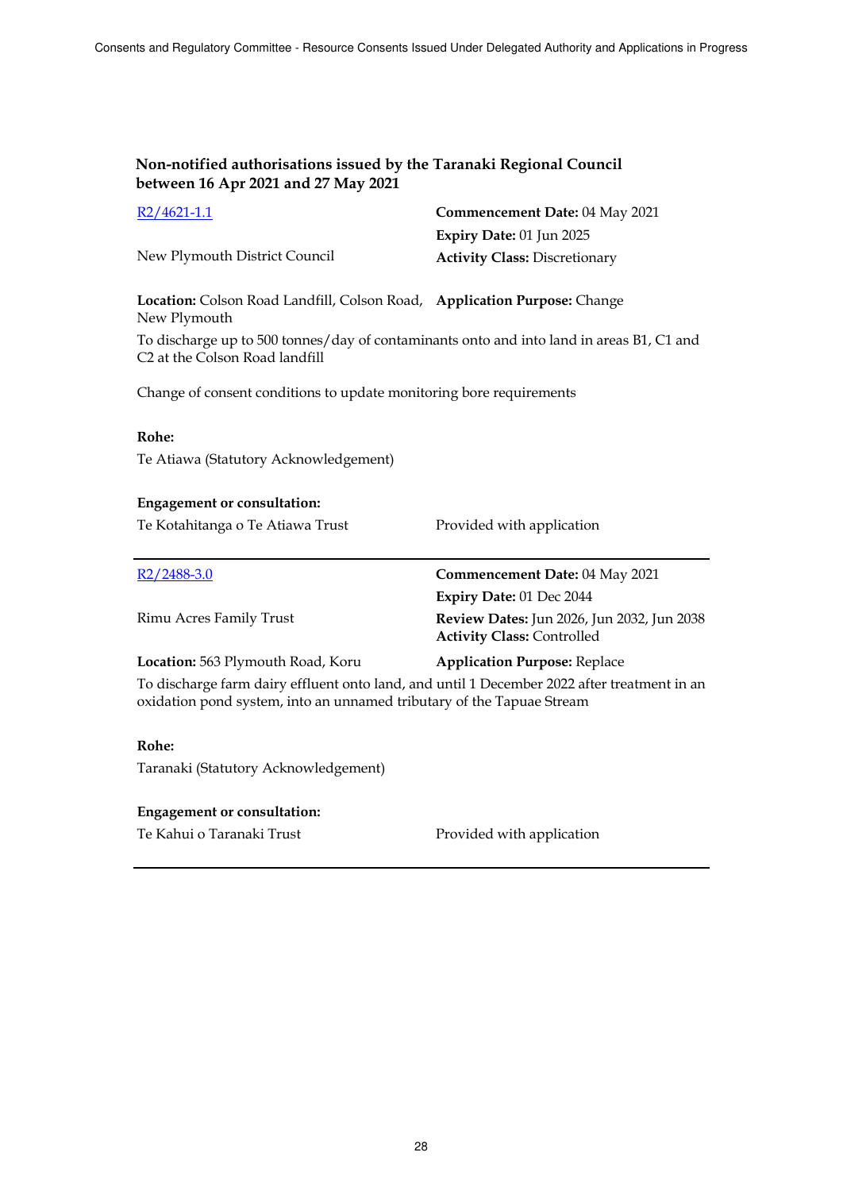| $R2/4621-1.1$                                                            | <b>Commencement Date: 04 May 2021</b> |
|--------------------------------------------------------------------------|---------------------------------------|
|                                                                          | Expiry Date: $01$ Jun 2025            |
| New Plymouth District Council                                            | <b>Activity Class: Discretionary</b>  |
|                                                                          |                                       |
| Location: Colson Road Landfill, Colson Road, Application Purpose: Change |                                       |

New Plymouth To discharge up to 500 tonnes/day of contaminants onto and into land in areas B1, C1 and C2 at the Colson Road landfill

Change of consent conditions to update monitoring bore requirements

#### **Rohe:**

Te Atiawa (Statutory Acknowledgement)

#### **Engagement or consultation:**

Te Kotahitanga o Te Atiawa Trust Provided with application

| $R2/2488-3.0$                     | Commencement Date: 04 May 2021                                                         |
|-----------------------------------|----------------------------------------------------------------------------------------|
|                                   | Expiry Date: 01 Dec 2044                                                               |
| Rimu Acres Family Trust           | <b>Review Dates:</b> Jun 2026, Jun 2032, Jun 2038<br><b>Activity Class: Controlled</b> |
| Location: 563 Plymouth Road, Koru | <b>Application Purpose: Replace</b>                                                    |

To discharge farm dairy effluent onto land, and until 1 December 2022 after treatment in an oxidation pond system, into an unnamed tributary of the Tapuae Stream

#### **Rohe:**

Taranaki (Statutory Acknowledgement)

#### **Engagement or consultation:**

Te Kahui o Taranaki Trust **Provided with application**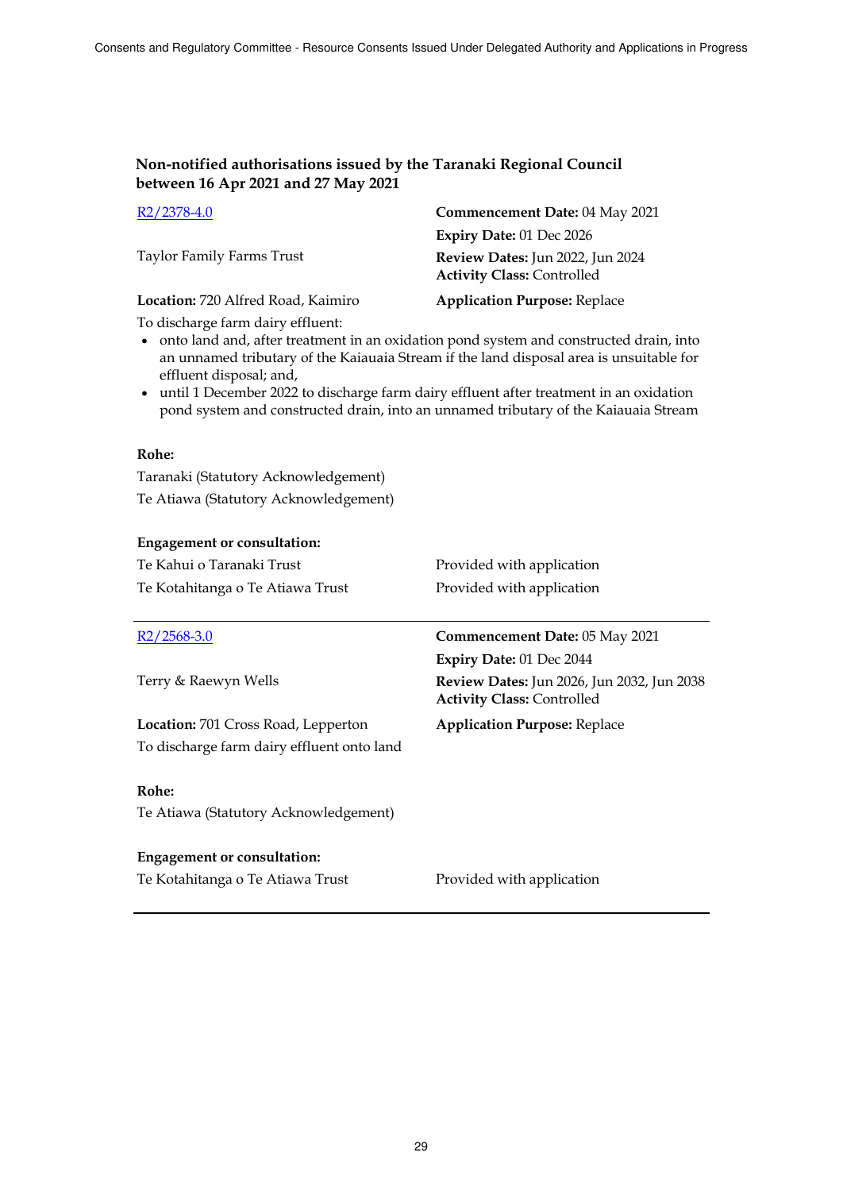| R2/2378-4.0                        | Commencement Date: 04 May 2021                                        |
|------------------------------------|-----------------------------------------------------------------------|
|                                    | Expiry Date: 01 Dec 2026                                              |
| Taylor Family Farms Trust          | Review Dates: Jun 2022, Jun 2024<br><b>Activity Class: Controlled</b> |
| Location: 720 Alfred Road, Kaimiro | <b>Application Purpose: Replace</b>                                   |

To discharge farm dairy effluent:

- onto land and, after treatment in an oxidation pond system and constructed drain, into an unnamed tributary of the Kaiauaia Stream if the land disposal area is unsuitable for effluent disposal; and,
- until 1 December 2022 to discharge farm dairy effluent after treatment in an oxidation pond system and constructed drain, into an unnamed tributary of the Kaiauaia Stream

### **Rohe:**

Taranaki (Statutory Acknowledgement) Te Atiawa (Statutory Acknowledgement)

## **Engagement or consultation:**

| Engagement or consultation:                |                                                                                 |
|--------------------------------------------|---------------------------------------------------------------------------------|
| Te Kahui o Taranaki Trust                  | Provided with application                                                       |
| Te Kotahitanga o Te Atiawa Trust           | Provided with application                                                       |
|                                            |                                                                                 |
| $R2/2568-3.0$                              | Commencement Date: 05 May 2021                                                  |
|                                            | Expiry Date: 01 Dec 2044                                                        |
| Terry & Raewyn Wells                       | Review Dates: Jun 2026, Jun 2032, Jun 2038<br><b>Activity Class: Controlled</b> |
| Location: 701 Cross Road, Lepperton        | <b>Application Purpose: Replace</b>                                             |
| To discharge farm dairy effluent onto land |                                                                                 |
|                                            |                                                                                 |
| Rohe:                                      |                                                                                 |
| Te Atiawa (Statutory Acknowledgement)      |                                                                                 |
|                                            |                                                                                 |
| <b>Engagement or consultation:</b>         |                                                                                 |

Te Kotahitanga o Te Atiawa Trust Provided with application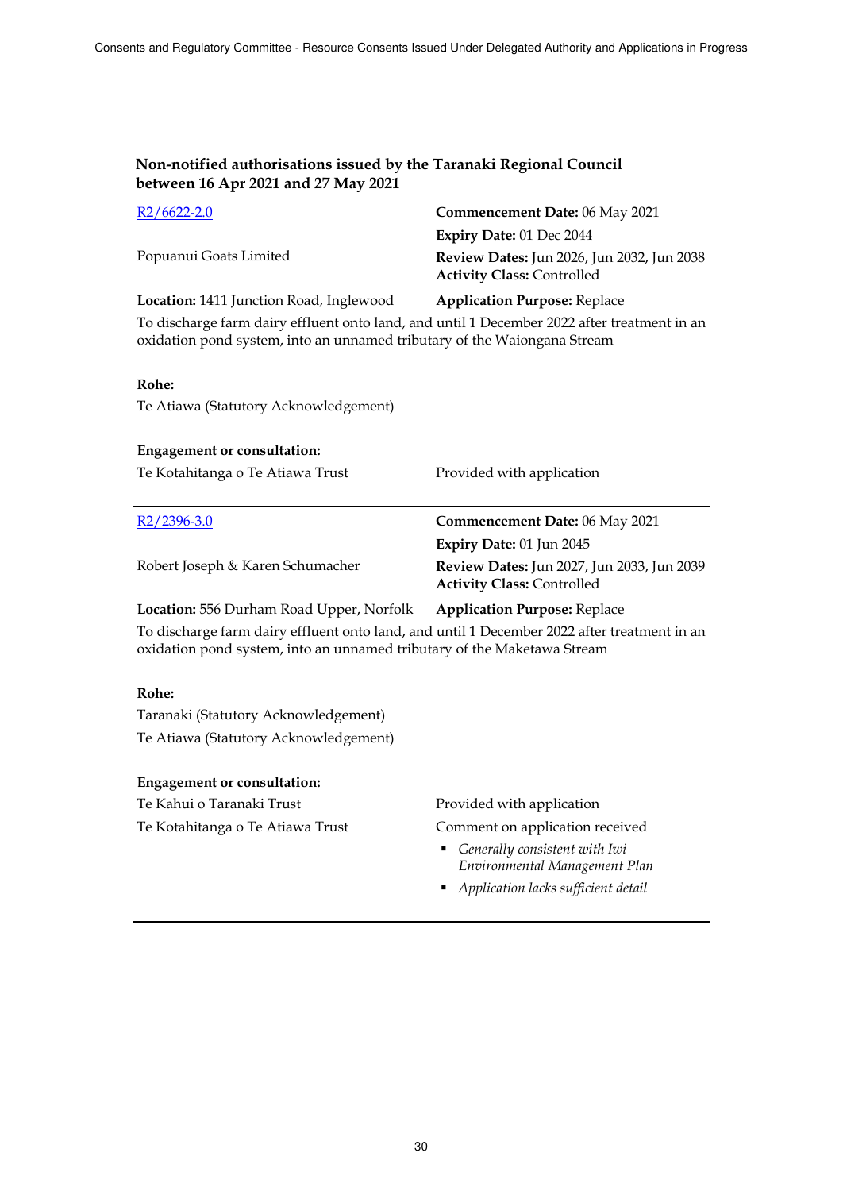| $R2/6622-2.0$                                                                                                                                                           | Commencement Date: 06 May 2021                                                         |
|-------------------------------------------------------------------------------------------------------------------------------------------------------------------------|----------------------------------------------------------------------------------------|
|                                                                                                                                                                         | Expiry Date: 01 Dec 2044                                                               |
| Popuanui Goats Limited                                                                                                                                                  | <b>Review Dates:</b> Jun 2026, Jun 2032, Jun 2038<br><b>Activity Class: Controlled</b> |
| Location: 1411 Junction Road, Inglewood                                                                                                                                 | <b>Application Purpose: Replace</b>                                                    |
| To discharge farm dairy effluent onto land, and until 1 December 2022 after treatment in an<br>oxidation pond system, into an unnamed tributary of the Waiongana Stream |                                                                                        |

#### **Rohe:**

Te Atiawa (Statutory Acknowledgement)

| <b>Engagement or consultation:</b><br>Te Kotahitanga o Te Atiawa Trust | Provided with application                                                       |
|------------------------------------------------------------------------|---------------------------------------------------------------------------------|
| $R2/2396-3.0$                                                          | Commencement Date: 06 May 2021                                                  |
|                                                                        | Expiry Date: 01 Jun 2045                                                        |
| Robert Joseph & Karen Schumacher                                       | Review Dates: Jun 2027, Jun 2033, Jun 2039<br><b>Activity Class: Controlled</b> |
| Location: 556 Durham Road Upper, Norfolk                               | <b>Application Purpose: Replace</b>                                             |

To discharge farm dairy effluent onto land, and until 1 December 2022 after treatment in an oxidation pond system, into an unnamed tributary of the Maketawa Stream

### **Rohe:**

Taranaki (Statutory Acknowledgement) Te Atiawa (Statutory Acknowledgement)

### **Engagement or consultation:**

Te Kahui o Taranaki Trust **Provided with application** 

Te Kotahitanga o Te Atiawa Trust Comment on application received

- *Generally consistent with Iwi Environmental Management Plan*
- *Application lacks sufficient detail*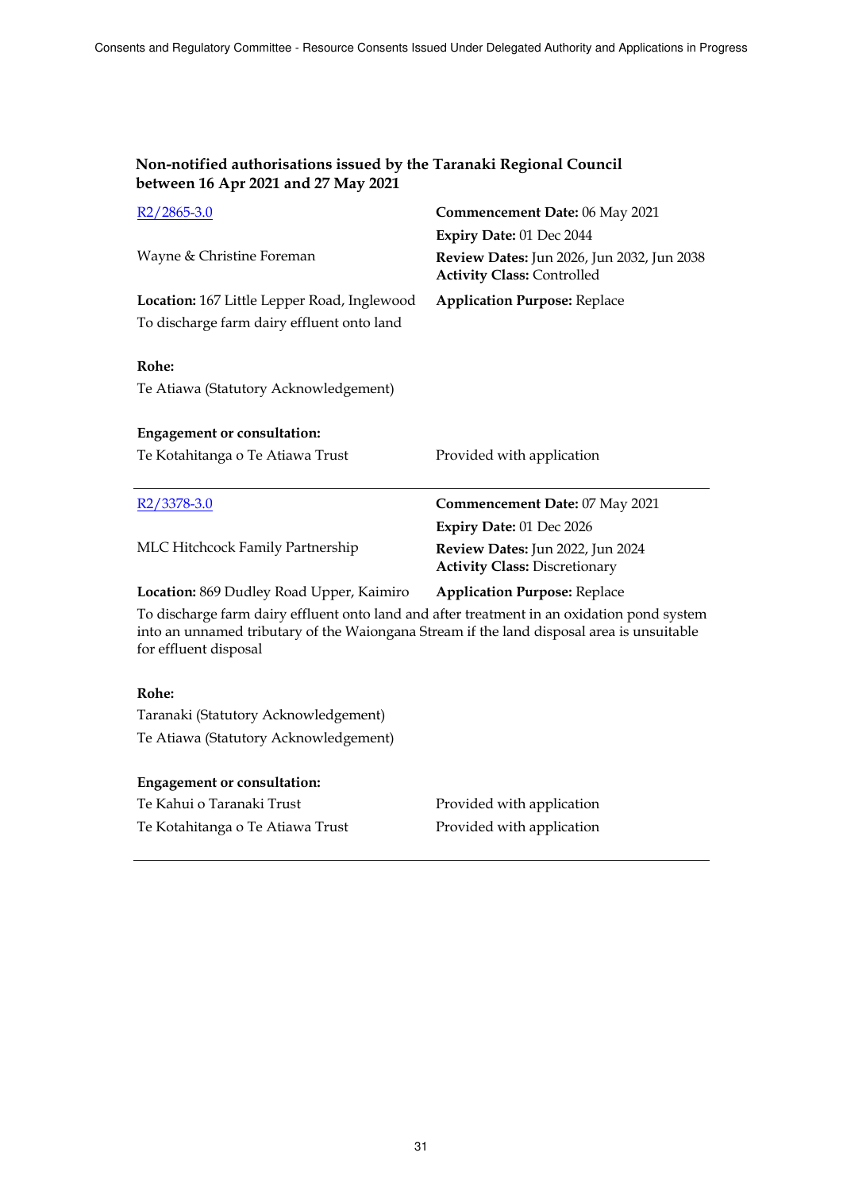| $R2/2865-3.0$                                                                                                                                                                                                    | Commencement Date: 06 May 2021                                                  |
|------------------------------------------------------------------------------------------------------------------------------------------------------------------------------------------------------------------|---------------------------------------------------------------------------------|
|                                                                                                                                                                                                                  | Expiry Date: 01 Dec 2044                                                        |
| Wayne & Christine Foreman                                                                                                                                                                                        | Review Dates: Jun 2026, Jun 2032, Jun 2038<br><b>Activity Class: Controlled</b> |
| Location: 167 Little Lepper Road, Inglewood                                                                                                                                                                      | <b>Application Purpose: Replace</b>                                             |
| To discharge farm dairy effluent onto land                                                                                                                                                                       |                                                                                 |
| Rohe:                                                                                                                                                                                                            |                                                                                 |
| Te Atiawa (Statutory Acknowledgement)                                                                                                                                                                            |                                                                                 |
| <b>Engagement or consultation:</b>                                                                                                                                                                               |                                                                                 |
| Te Kotahitanga o Te Atiawa Trust                                                                                                                                                                                 | Provided with application                                                       |
|                                                                                                                                                                                                                  |                                                                                 |
| $R2/3378-3.0$                                                                                                                                                                                                    | <b>Commencement Date: 07 May 2021</b>                                           |
|                                                                                                                                                                                                                  | Expiry Date: 01 Dec 2026                                                        |
| MLC Hitchcock Family Partnership                                                                                                                                                                                 | Review Dates: Jun 2022, Jun 2024<br><b>Activity Class: Discretionary</b>        |
| Location: 869 Dudley Road Upper, Kaimiro                                                                                                                                                                         | <b>Application Purpose: Replace</b>                                             |
| To discharge farm dairy effluent onto land and after treatment in an oxidation pond system<br>into an unnamed tributary of the Waiongana Stream if the land disposal area is unsuitable<br>for effluent disposal |                                                                                 |
| Rohe:                                                                                                                                                                                                            |                                                                                 |

Taranaki (Statutory Acknowledgement) Te Atiawa (Statutory Acknowledgement)

| <b>Engagement or consultation:</b> |                           |
|------------------------------------|---------------------------|
| Te Kahui o Taranaki Trust          | Provided with application |
| Te Kotahitanga o Te Atiawa Trust   | Provided with application |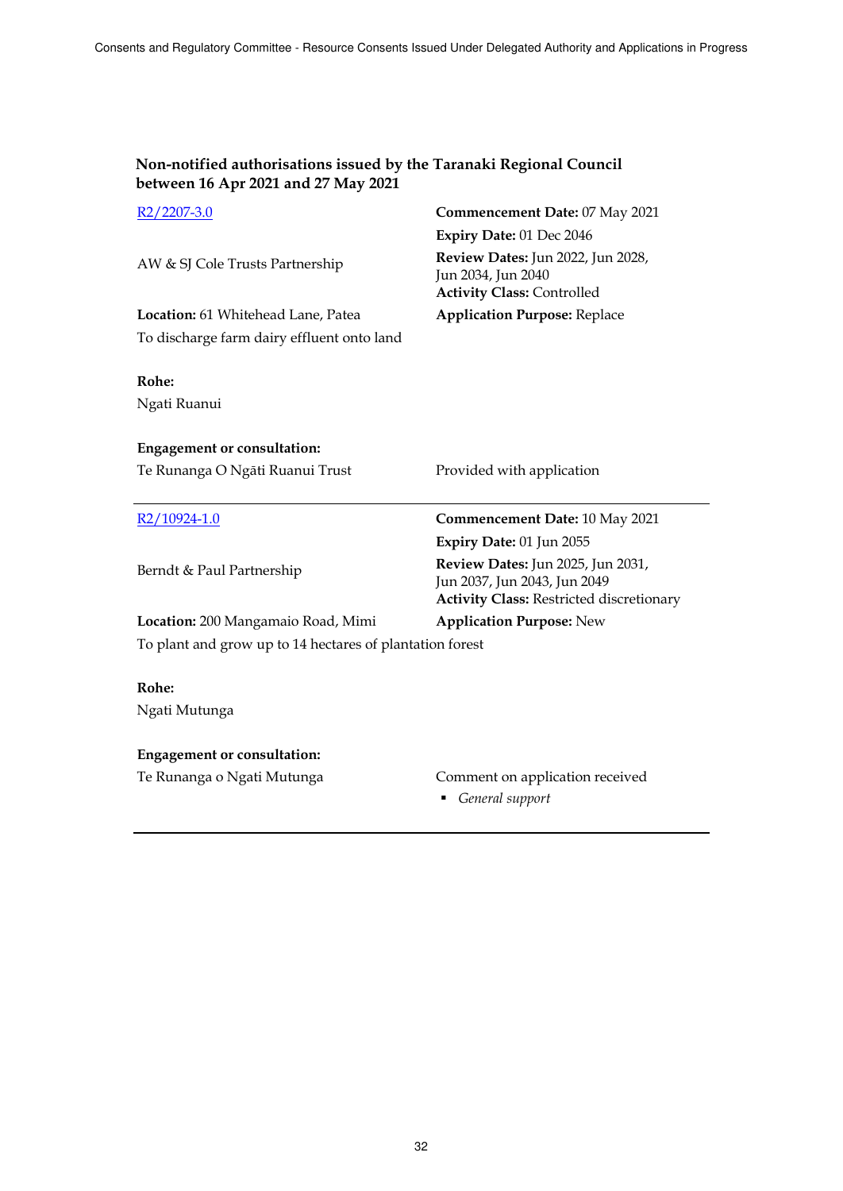**Non-notified authorisations issued by the Taranaki Regional Council** 

| between 16 Apr 2021 and 27 May 2021                              |                                                                                                                      |
|------------------------------------------------------------------|----------------------------------------------------------------------------------------------------------------------|
| $R2/2207-3.0$                                                    | Commencement Date: 07 May 2021                                                                                       |
|                                                                  | Expiry Date: 01 Dec 2046                                                                                             |
| AW & SJ Cole Trusts Partnership                                  | Review Dates: Jun 2022, Jun 2028,<br>Jun 2034, Jun 2040<br><b>Activity Class: Controlled</b>                         |
| Location: 61 Whitehead Lane, Patea                               | <b>Application Purpose: Replace</b>                                                                                  |
| To discharge farm dairy effluent onto land                       |                                                                                                                      |
| Rohe:<br>Ngati Ruanui                                            |                                                                                                                      |
| <b>Engagement or consultation:</b>                               |                                                                                                                      |
| Te Runanga O Ngāti Ruanui Trust                                  | Provided with application                                                                                            |
|                                                                  |                                                                                                                      |
|                                                                  |                                                                                                                      |
| R2/10924-1.0                                                     | Commencement Date: 10 May 2021                                                                                       |
|                                                                  | Expiry Date: 01 Jun 2055                                                                                             |
| Berndt & Paul Partnership                                        | Review Dates: Jun 2025, Jun 2031,<br>Jun 2037, Jun 2043, Jun 2049<br><b>Activity Class: Restricted discretionary</b> |
| Location: 200 Mangamaio Road, Mimi                               | <b>Application Purpose: New</b>                                                                                      |
| To plant and grow up to 14 hectares of plantation forest         |                                                                                                                      |
|                                                                  |                                                                                                                      |
| Rohe:                                                            |                                                                                                                      |
| Ngati Mutunga                                                    |                                                                                                                      |
|                                                                  |                                                                                                                      |
| <b>Engagement or consultation:</b><br>Te Runanga o Ngati Mutunga | Comment on application received                                                                                      |

*General support*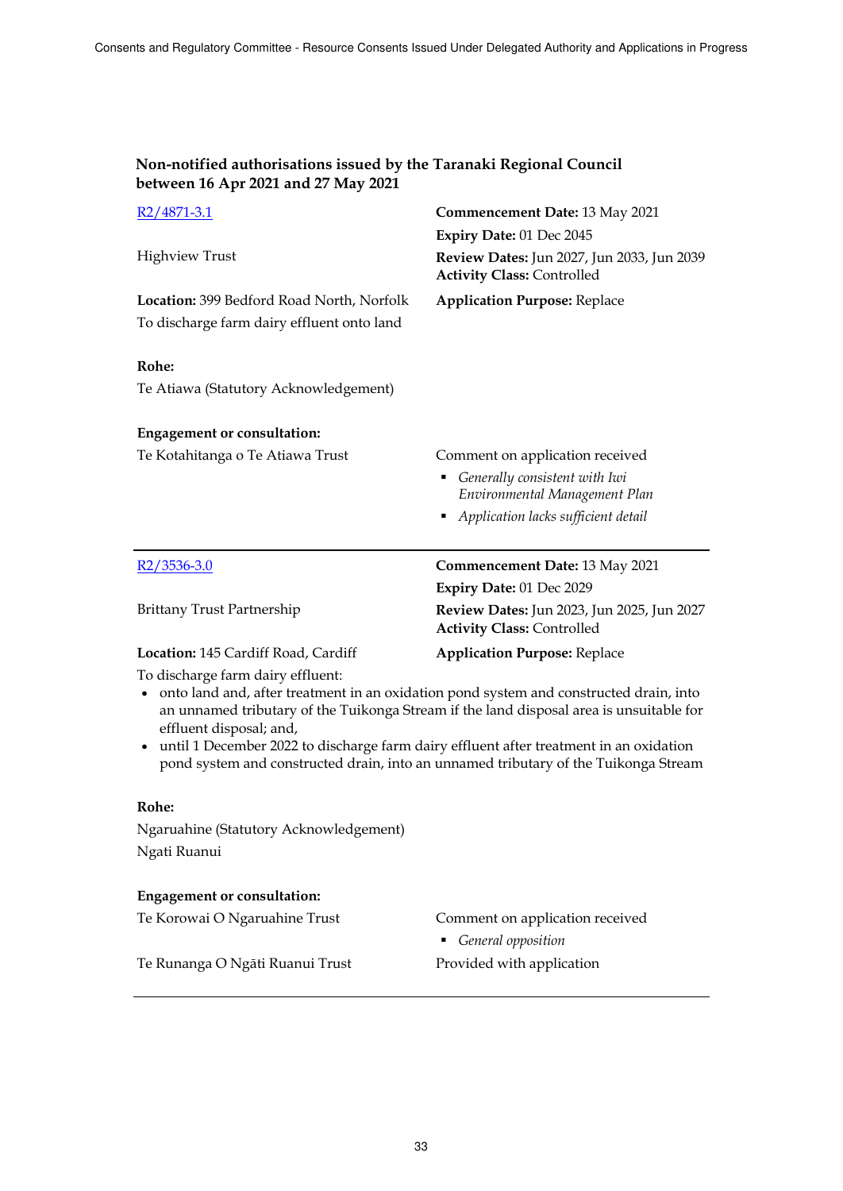| $R2/4871-3.1$                                                                                                                                                                                                                                                                                                                                                                                                                        | <b>Commencement Date: 13 May 2021</b>                                                                                                    |  |
|--------------------------------------------------------------------------------------------------------------------------------------------------------------------------------------------------------------------------------------------------------------------------------------------------------------------------------------------------------------------------------------------------------------------------------------|------------------------------------------------------------------------------------------------------------------------------------------|--|
|                                                                                                                                                                                                                                                                                                                                                                                                                                      | Expiry Date: 01 Dec 2045                                                                                                                 |  |
| <b>Highview Trust</b>                                                                                                                                                                                                                                                                                                                                                                                                                | Review Dates: Jun 2027, Jun 2033, Jun 2039<br><b>Activity Class: Controlled</b>                                                          |  |
| Location: 399 Bedford Road North, Norfolk<br>To discharge farm dairy effluent onto land                                                                                                                                                                                                                                                                                                                                              | <b>Application Purpose: Replace</b>                                                                                                      |  |
| Rohe:                                                                                                                                                                                                                                                                                                                                                                                                                                |                                                                                                                                          |  |
| Te Atiawa (Statutory Acknowledgement)                                                                                                                                                                                                                                                                                                                                                                                                |                                                                                                                                          |  |
| <b>Engagement or consultation:</b>                                                                                                                                                                                                                                                                                                                                                                                                   |                                                                                                                                          |  |
| Te Kotahitanga o Te Atiawa Trust                                                                                                                                                                                                                                                                                                                                                                                                     | Comment on application received<br>Generally consistent with Iwi<br>Environmental Management Plan<br>Application lacks sufficient detail |  |
| $R2/3536-3.0$                                                                                                                                                                                                                                                                                                                                                                                                                        | <b>Commencement Date: 13 May 2021</b>                                                                                                    |  |
|                                                                                                                                                                                                                                                                                                                                                                                                                                      | Expiry Date: 01 Dec 2029                                                                                                                 |  |
| <b>Brittany Trust Partnership</b>                                                                                                                                                                                                                                                                                                                                                                                                    | Review Dates: Jun 2023, Jun 2025, Jun 2027<br><b>Activity Class: Controlled</b>                                                          |  |
| Location: 145 Cardiff Road, Cardiff                                                                                                                                                                                                                                                                                                                                                                                                  | <b>Application Purpose: Replace</b>                                                                                                      |  |
| To discharge farm dairy effluent:<br>onto land and, after treatment in an oxidation pond system and constructed drain, into<br>an unnamed tributary of the Tuikonga Stream if the land disposal area is unsuitable for<br>effluent disposal; and,<br>• until 1 December 2022 to discharge farm dairy effluent after treatment in an oxidation<br>pond system and constructed drain, into an unnamed tributary of the Tuikonga Stream |                                                                                                                                          |  |
| Rohe:                                                                                                                                                                                                                                                                                                                                                                                                                                |                                                                                                                                          |  |
| Ngaruahine (Statutory Acknowledgement)                                                                                                                                                                                                                                                                                                                                                                                               |                                                                                                                                          |  |
| Ngati Ruanui                                                                                                                                                                                                                                                                                                                                                                                                                         |                                                                                                                                          |  |
| <b>Engagement or consultation:</b>                                                                                                                                                                                                                                                                                                                                                                                                   |                                                                                                                                          |  |
| Te Korowai O Ngaruahine Trust                                                                                                                                                                                                                                                                                                                                                                                                        | Comment on application received<br>General opposition                                                                                    |  |
| Te Runanga O Ngāti Ruanui Trust                                                                                                                                                                                                                                                                                                                                                                                                      | Provided with application                                                                                                                |  |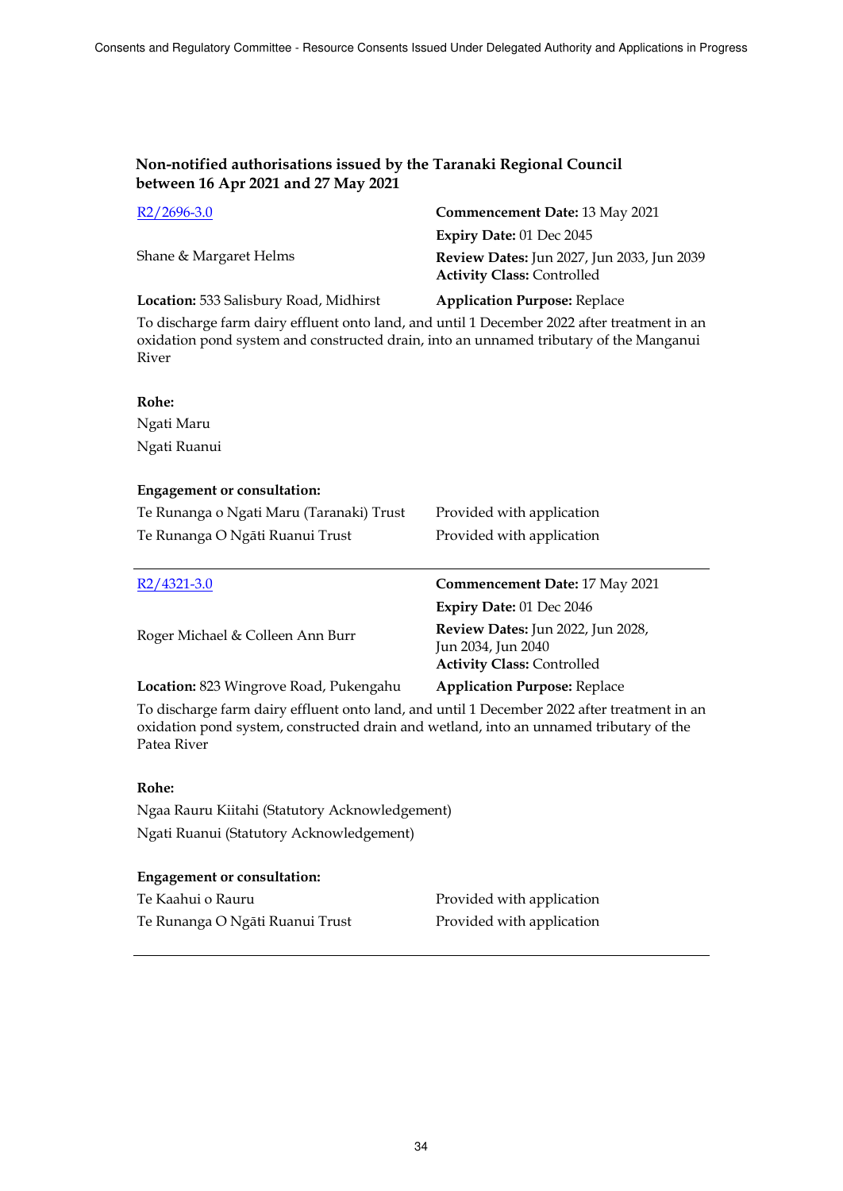| $R2/2696-3.0$                          | Commencement Date: 13 May 2021                                                         |
|----------------------------------------|----------------------------------------------------------------------------------------|
|                                        | Expiry Date: 01 Dec 2045                                                               |
| Shane & Margaret Helms                 | <b>Review Dates:</b> Jun 2027, Jun 2033, Jun 2039<br><b>Activity Class: Controlled</b> |
| Location: 533 Salisbury Road, Midhirst | <b>Application Purpose: Replace</b>                                                    |
|                                        |                                                                                        |

To discharge farm dairy effluent onto land, and until 1 December 2022 after treatment in an oxidation pond system and constructed drain, into an unnamed tributary of the Manganui River

# **Rohe:** Ngati Maru Ngati Ruanui

### **Engagement or consultation:**

| Te Runanga o Ngati Maru (Taranaki) Trust | Provided with application                               |
|------------------------------------------|---------------------------------------------------------|
| Te Runanga O Ngāti Ruanui Trust          | Provided with application                               |
|                                          |                                                         |
| R <sub>2</sub> /4321-3.0                 | Commencement Date: 17 May 2021                          |
|                                          | Expiry Date: 01 Dec 2046                                |
| Roger Michael & Colleen Ann Burr         | Review Dates: Jun 2022, Jun 2028,<br>Jun 2034, Jun 2040 |

**Location:** 823 Wingrove Road, Pukengahu **Application Purpose:** Replace To discharge farm dairy effluent onto land, and until 1 December 2022 after treatment in an oxidation pond system, constructed drain and wetland, into an unnamed tributary of the

### **Rohe:**

Patea River

Ngaa Rauru Kiitahi (Statutory Acknowledgement) Ngati Ruanui (Statutory Acknowledgement)

### **Engagement or consultation:**

| Te Kaahui o Rauru               | Provided witl |
|---------------------------------|---------------|
| Te Runanga O Ngāti Ruanui Trust | Provided witl |

h application h application

**Activity Class:** Controlled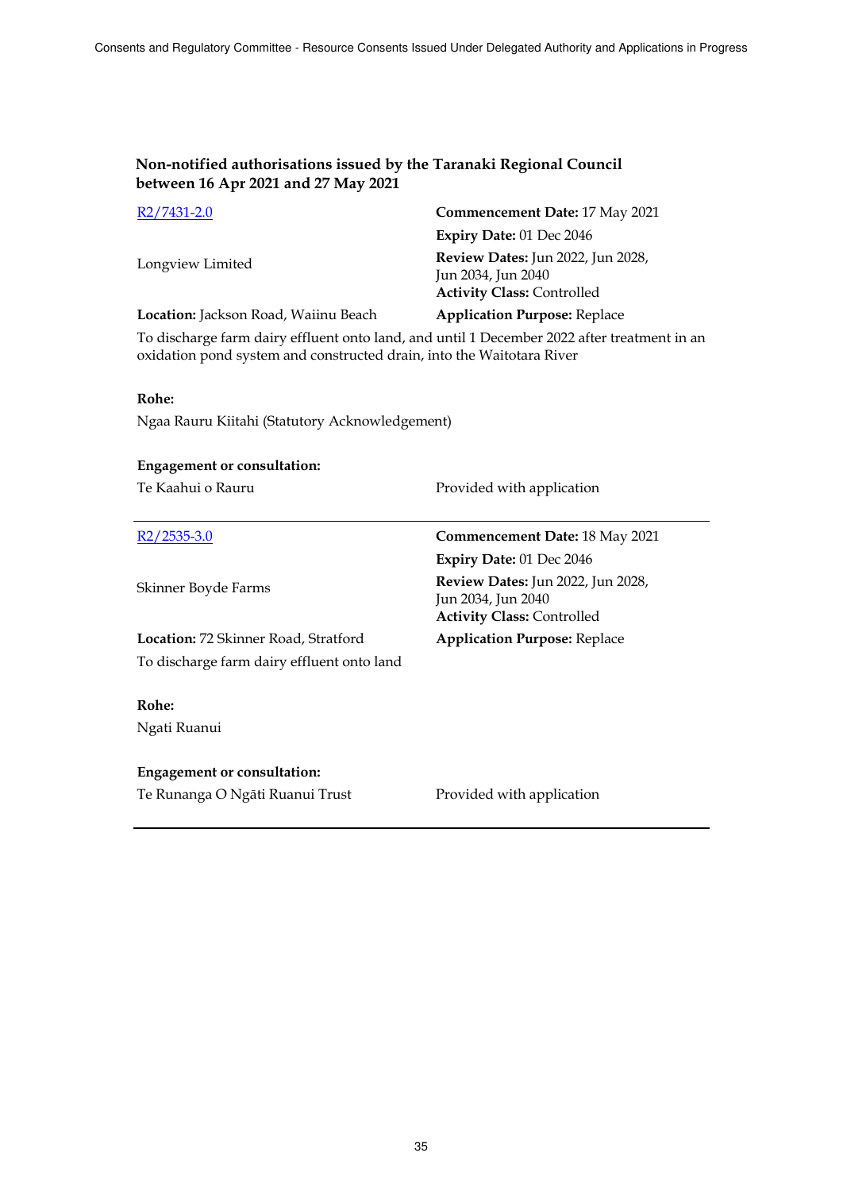| R2/7431-2.0                                                                           | Commencement Date: 17 May 2021                                                               |
|---------------------------------------------------------------------------------------|----------------------------------------------------------------------------------------------|
|                                                                                       | Expiry Date: 01 Dec 2046                                                                     |
| Longview Limited                                                                      | Review Dates: Jun 2022, Jun 2028,<br>Jun 2034, Jun 2040<br><b>Activity Class: Controlled</b> |
| Location: Jackson Road, Waiinu Beach                                                  | <b>Application Purpose: Replace</b>                                                          |
| To discharge farm dairy effluent onto land, and until 1 December 2022 after treatment |                                                                                              |

To discharge farm dairy effluent onto land, and until 1 December 2022 after treatment in an oxidation pond system and constructed drain, into the Waitotara River

### **Rohe:**

Ngaa Rauru Kiitahi (Statutory Acknowledgement)

| <b>Engagement or consultation:</b>          |                                                                                                     |
|---------------------------------------------|-----------------------------------------------------------------------------------------------------|
| Te Kaahui o Rauru                           | Provided with application                                                                           |
|                                             |                                                                                                     |
| $R2/2535-3.0$                               | <b>Commencement Date: 18 May 2021</b>                                                               |
|                                             | <b>Expiry Date: 01 Dec 2046</b>                                                                     |
| Skinner Boyde Farms                         | <b>Review Dates:</b> Jun 2022, Jun 2028,<br>Jun 2034, Jun 2040<br><b>Activity Class: Controlled</b> |
| <b>Location:</b> 72 Skinner Road, Stratford | <b>Application Purpose: Replace</b>                                                                 |
| To discharge farm dairy effluent onto land  |                                                                                                     |
|                                             |                                                                                                     |
| Rohe:                                       |                                                                                                     |
| Ngati Ruanui                                |                                                                                                     |
|                                             |                                                                                                     |
| <b>Engagement or consultation:</b>          |                                                                                                     |
| Te Runanga O Ngāti Ruanui Trust             | Provided with application                                                                           |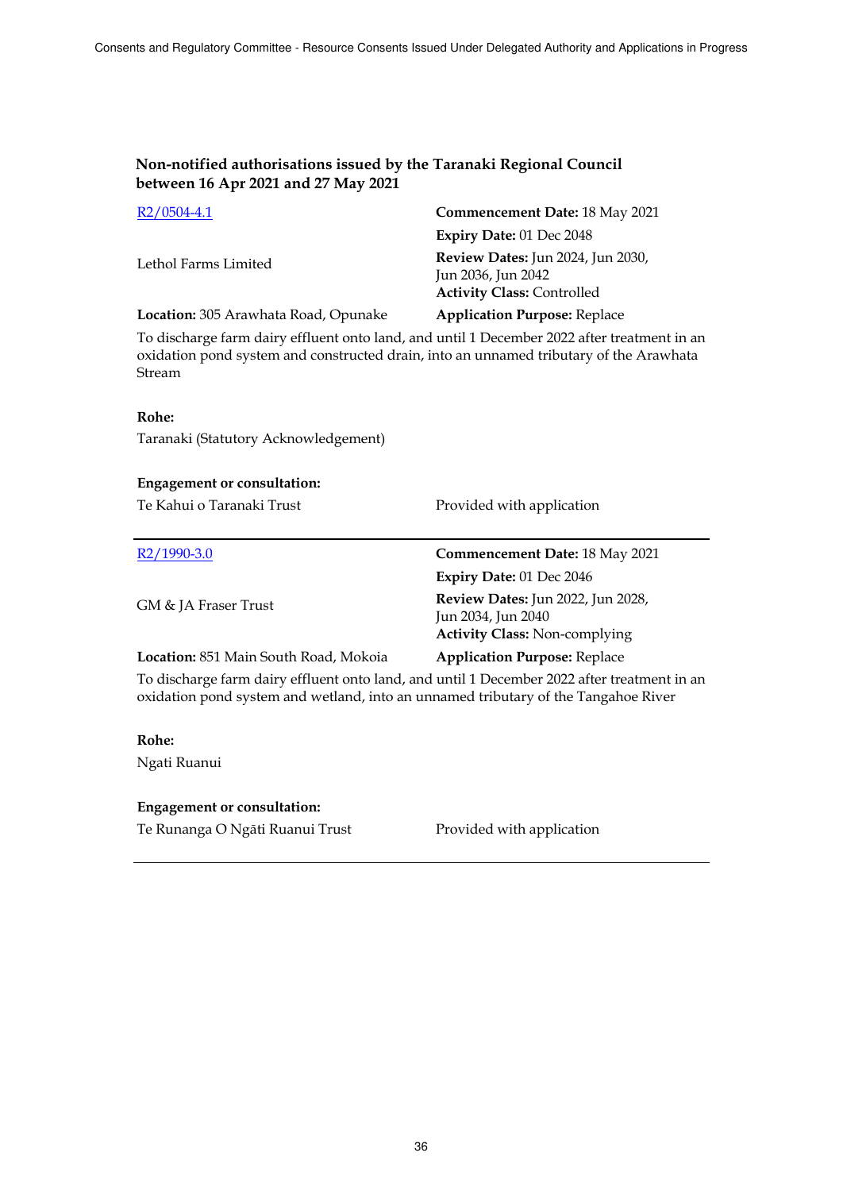| $R2/0504-4.1$                        | Commencement Date: 18 May 2021                                                               |
|--------------------------------------|----------------------------------------------------------------------------------------------|
|                                      | Expiry Date: $01$ Dec $2048$                                                                 |
| Lethol Farms Limited                 | Review Dates: Jun 2024, Jun 2030,<br>Jun 2036, Jun 2042<br><b>Activity Class: Controlled</b> |
| Location: 305 Arawhata Road, Opunake | <b>Application Purpose: Replace</b>                                                          |

To discharge farm dairy effluent onto land, and until 1 December 2022 after treatment in an oxidation pond system and constructed drain, into an unnamed tributary of the Arawhata Stream

#### **Rohe:**

Taranaki (Statutory Acknowledgement)

#### **Engagement or consultation:**

Te Kahui o Taranaki Trust Provided with application

| $R2/1990-3.0$                         | <b>Commencement Date: 18 May 2021</b>                                                                  |
|---------------------------------------|--------------------------------------------------------------------------------------------------------|
|                                       | Expiry Date: 01 Dec 2046                                                                               |
| GM & JA Fraser Trust                  | <b>Review Dates:</b> Jun 2022, Jun 2028,<br>Jun 2034, Jun 2040<br><b>Activity Class: Non-complying</b> |
| Location: 851 Main South Road, Mokoia | <b>Application Purpose: Replace</b>                                                                    |

To discharge farm dairy effluent onto land, and until 1 December 2022 after treatment in an oxidation pond system and wetland, into an unnamed tributary of the Tangahoe River

# **Rohe:**

Ngati Ruanui

#### **Engagement or consultation:**

Te Runanga O Ngāti Ruanui Trust Provided with application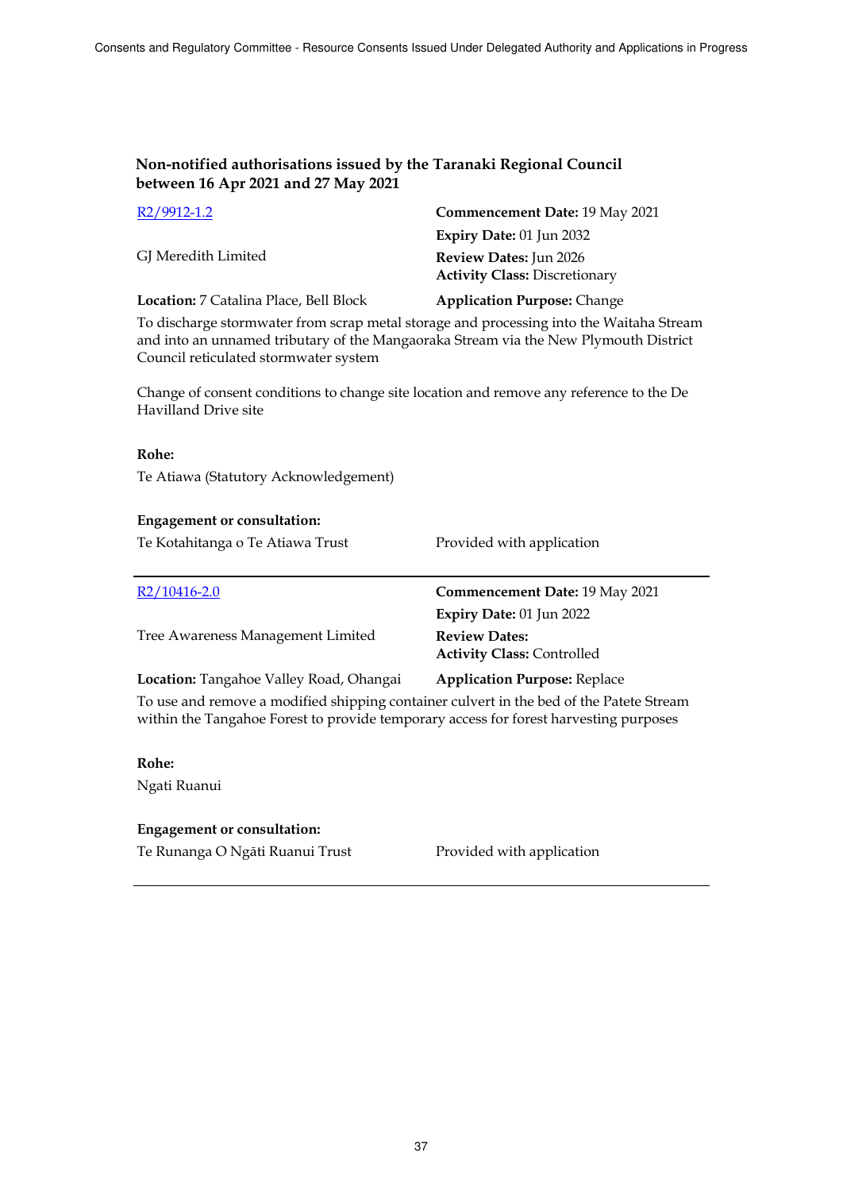| R <sub>2</sub> /9912-1.2                      | Commencement Date: 19 May 2021                                        |
|-----------------------------------------------|-----------------------------------------------------------------------|
|                                               | Expiry Date: $01$ Jun 2032                                            |
| GJ Meredith Limited                           | <b>Review Dates:</b> Jun 2026<br><b>Activity Class: Discretionary</b> |
| <b>Location:</b> 7 Catalina Place, Bell Block | <b>Application Purpose: Change</b>                                    |

To discharge stormwater from scrap metal storage and processing into the Waitaha Stream and into an unnamed tributary of the Mangaoraka Stream via the New Plymouth District Council reticulated stormwater system

Change of consent conditions to change site location and remove any reference to the De Havilland Drive site

#### **Rohe:**

Te Atiawa (Statutory Acknowledgement)

#### **Engagement or consultation:**

Te Kotahitanga o Te Atiawa Trust Provided with application

| $R2/10416 - 2.0$                        | Commencement Date: 19 May 2021                            |
|-----------------------------------------|-----------------------------------------------------------|
|                                         | Expiry Date: 01 Jun 2022                                  |
| Tree Awareness Management Limited       | <b>Review Dates:</b><br><b>Activity Class: Controlled</b> |
| Location: Tangahoe Valley Road, Ohangai | <b>Application Purpose: Replace</b>                       |

To use and remove a modified shipping container culvert in the bed of the Patete Stream within the Tangahoe Forest to provide temporary access for forest harvesting purposes

#### **Rohe:**

Ngati Ruanui

#### **Engagement or consultation:**

Te Runanga O Ngāti Ruanui Trust Provided with application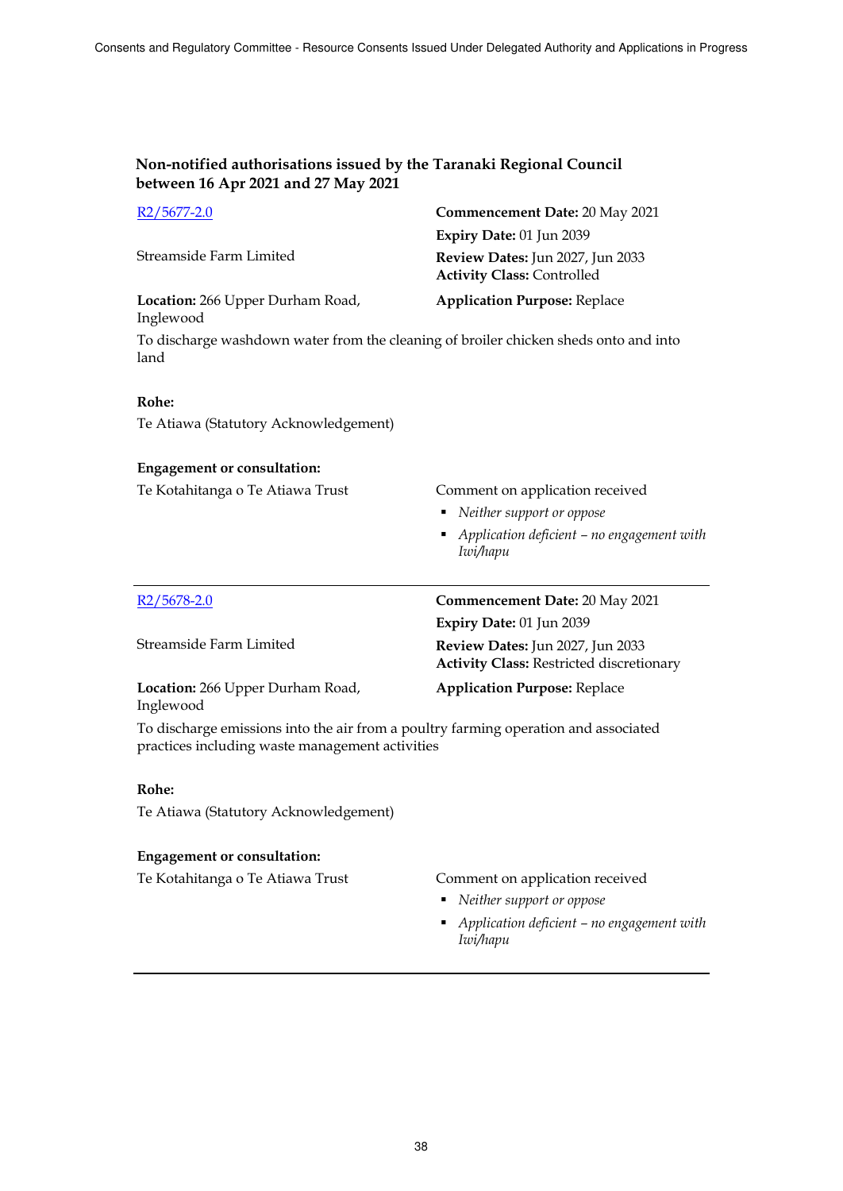| $R2/5677-2.0$                                                                                | Commencement Date: 20 May 2021                                        |
|----------------------------------------------------------------------------------------------|-----------------------------------------------------------------------|
|                                                                                              | Expiry Date: 01 Jun 2039                                              |
| Streamside Farm Limited                                                                      | Review Dates: Jun 2027, Jun 2033<br><b>Activity Class: Controlled</b> |
| Location: 266 Upper Durham Road,<br>Inglewood                                                | <b>Application Purpose: Replace</b>                                   |
| To discharge washdown water from the cleaning of broiler chicken sheds onto and into<br>land |                                                                       |

#### **Rohe:**

Te Atiawa (Statutory Acknowledgement)

#### **Engagement or consultation:**

| Te Kotahitanga o Te Atiawa Trust | Comment on application received |
|----------------------------------|---------------------------------|
|                                  | • Neither support or oppose     |

 *Application deficient – no engagement with Iwi/hapu* 

| $R2/5678-2.0$                                 | Commencement Date: 20 May 2021                                                      |
|-----------------------------------------------|-------------------------------------------------------------------------------------|
|                                               | Expiry Date: 01 Jun 2039                                                            |
| Streamside Farm Limited                       | Review Dates: Jun 2027, Jun 2033<br><b>Activity Class: Restricted discretionary</b> |
| Location: 266 Upper Durham Road,<br>Inglewood | <b>Application Purpose: Replace</b>                                                 |

To discharge emissions into the air from a poultry farming operation and associated practices including waste management activities

### **Rohe:**

Te Atiawa (Statutory Acknowledgement)

### **Engagement or consultation:**

Te Kotahitanga o Te Atiawa Trust Comment on application received

- *Neither support or oppose*
- *Application deficient – no engagement with Iwi/hapu*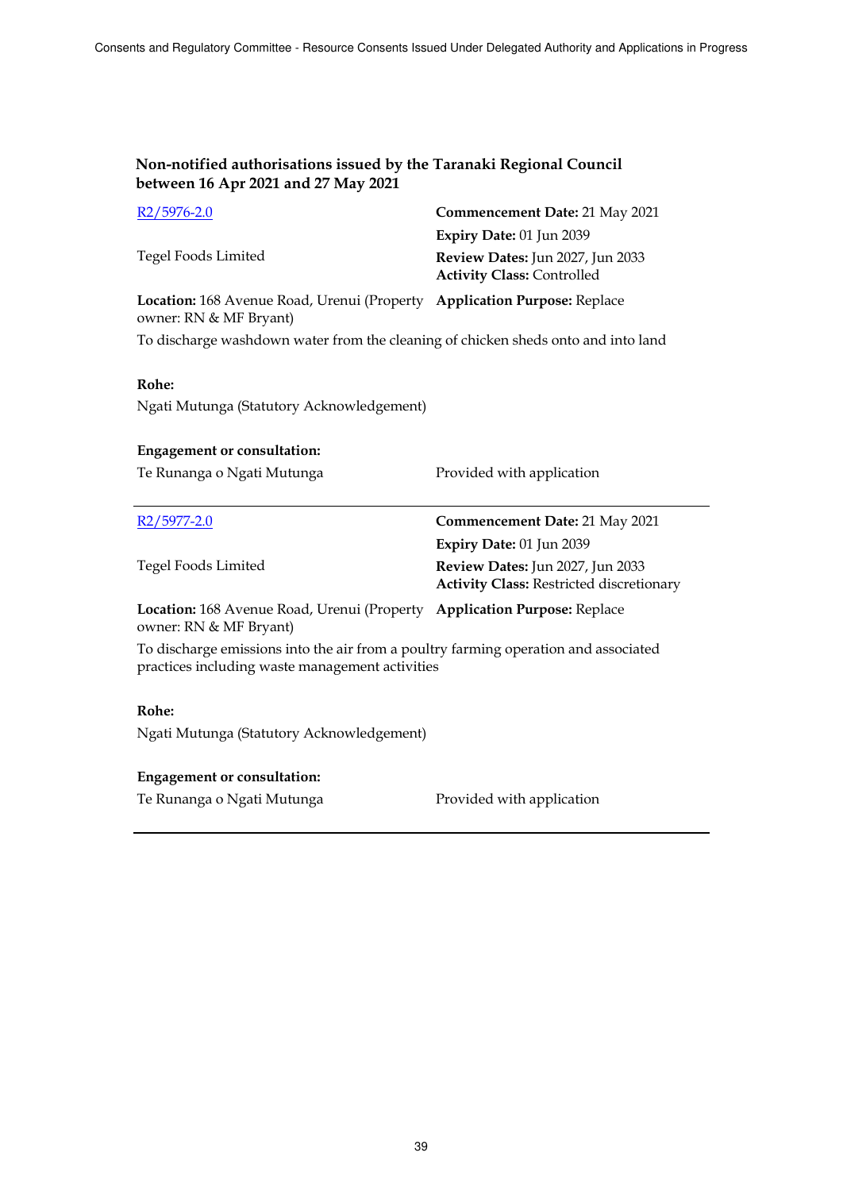| $R2/5976-2.0$                                                                                      | <b>Commencement Date: 21 May 2021</b>                                 |
|----------------------------------------------------------------------------------------------------|-----------------------------------------------------------------------|
|                                                                                                    | Expiry Date: 01 Jun 2039                                              |
| Tegel Foods Limited                                                                                | Review Dates: Jun 2027, Jun 2033<br><b>Activity Class: Controlled</b> |
| Location: 168 Avenue Road, Urenui (Property Application Purpose: Replace<br>owner: RN & MF Bryant) |                                                                       |
|                                                                                                    |                                                                       |

To discharge washdown water from the cleaning of chicken sheds onto and into land

### **Rohe:**

Ngati Mutunga (Statutory Acknowledgement)

# **Engagement or consultation:** Te Runanga o Ngati Mutunga Provided with application R2/5977-2.0 **Commencement Date:** 21 May 2021 Tegel Foods Limited **Expiry Date:** 01 Jun 2039 **Review Dates:** Jun 2027, Jun 2033 **Activity Class:** Restricted discretionary **Location:** 168 Avenue Road, Urenui (Property **Application Purpose:** Replace owner: RN & MF Bryant) To discharge emissions into the air from a poultry farming operation and associated practices including waste management activities **Rohe:** Ngati Mutunga (Statutory Acknowledgement)

### **Engagement or consultation:**

Te Runanga o Ngati Mutunga **Provided with application**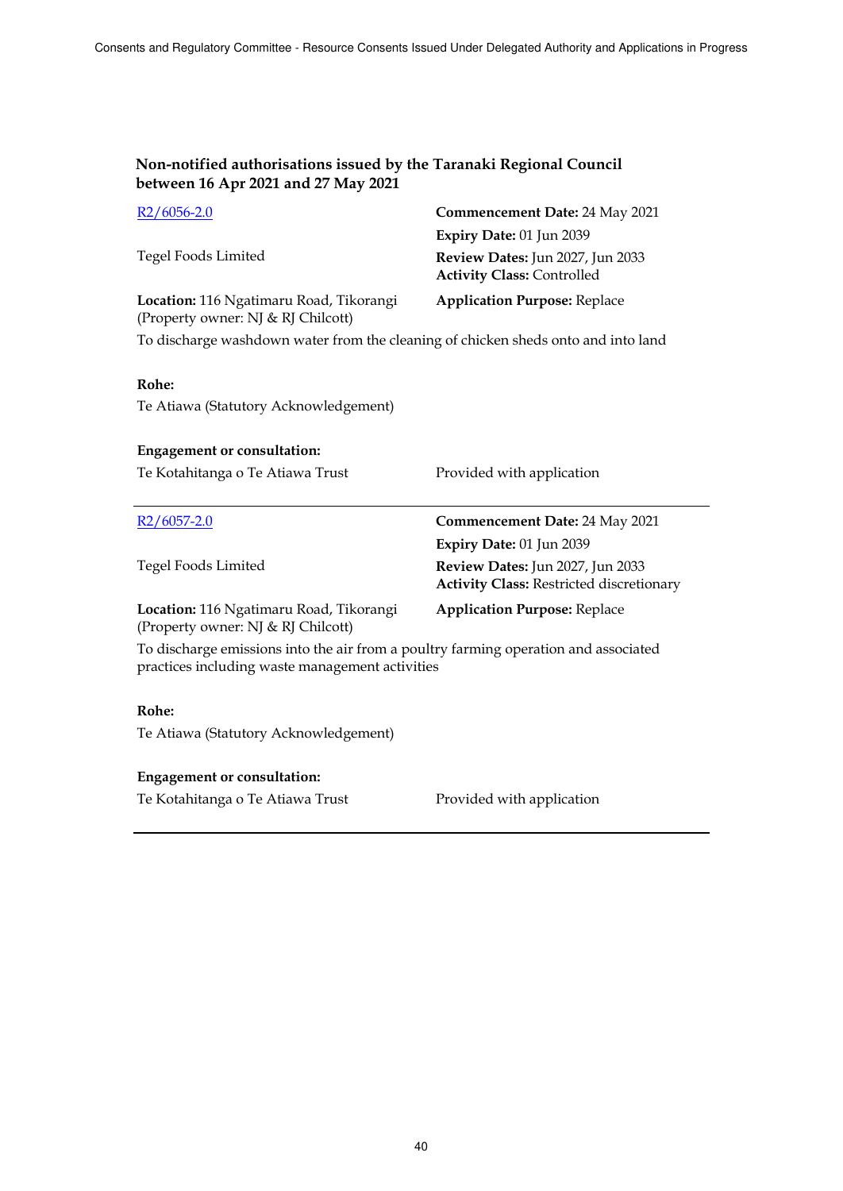| $R2/6056-2.0$                                                                 | Commencement Date: 24 May 2021                                        |
|-------------------------------------------------------------------------------|-----------------------------------------------------------------------|
|                                                                               | Expiry Date: 01 Jun 2039                                              |
| Tegel Foods Limited                                                           | Review Dates: Jun 2027, Jun 2033<br><b>Activity Class: Controlled</b> |
| Location: 116 Ngatimaru Road, Tikorangi<br>(Property owner: NJ & RJ Chilcott) | <b>Application Purpose: Replace</b>                                   |

To discharge washdown water from the cleaning of chicken sheds onto and into land

### **Rohe:**

Te Atiawa (Statutory Acknowledgement)

| <b>Engagement or consultation:</b>                                                                                                     |                                                                                     |  |
|----------------------------------------------------------------------------------------------------------------------------------------|-------------------------------------------------------------------------------------|--|
| Te Kotahitanga o Te Atiawa Trust                                                                                                       | Provided with application                                                           |  |
| $R2/6057-2.0$                                                                                                                          | Commencement Date: 24 May 2021                                                      |  |
|                                                                                                                                        | Expiry Date: $01$ Jun 2039                                                          |  |
| <b>Tegel Foods Limited</b>                                                                                                             | Review Dates: Jun 2027, Jun 2033<br><b>Activity Class: Restricted discretionary</b> |  |
| Location: 116 Ngatimaru Road, Tikorangi<br>(Property owner: NJ & RJ Chilcott)                                                          | <b>Application Purpose: Replace</b>                                                 |  |
| To discharge emissions into the air from a poultry farming operation and associated<br>practices including waste management activities |                                                                                     |  |

### **Rohe:**

Te Atiawa (Statutory Acknowledgement)

#### **Engagement or consultation:**

Te Kotahitanga o Te Atiawa Trust Provided with application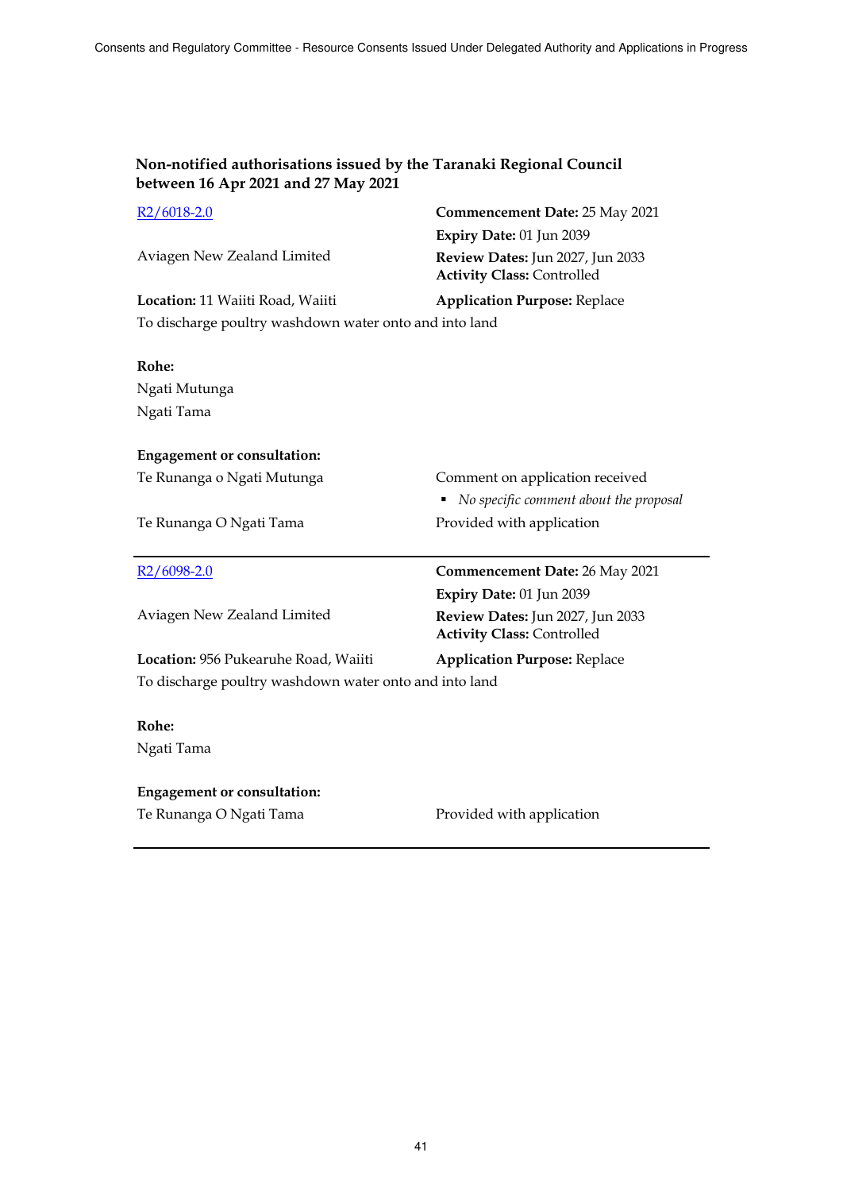| R <sub>2</sub> /6018-2.0                               | Commencement Date: 25 May 2021                                        |
|--------------------------------------------------------|-----------------------------------------------------------------------|
|                                                        | Expiry Date: 01 Jun 2039                                              |
| Aviagen New Zealand Limited                            | Review Dates: Jun 2027, Jun 2033<br><b>Activity Class: Controlled</b> |
| Location: 11 Waiiti Road, Waiiti                       | <b>Application Purpose: Replace</b>                                   |
| To discharge poultry washdown water onto and into land |                                                                       |
|                                                        |                                                                       |
| Rohe:                                                  |                                                                       |
| Ngati Mutunga                                          |                                                                       |
| Ngati Tama                                             |                                                                       |
|                                                        |                                                                       |
| <b>Engagement or consultation:</b>                     |                                                                       |
| Te Runanga o Ngati Mutunga                             | Comment on application received                                       |
|                                                        | No specific comment about the proposal                                |
|                                                        |                                                                       |
| Te Runanga O Ngati Tama                                | Provided with application                                             |
|                                                        |                                                                       |
| R <sub>2</sub> /6098-2.0                               | <b>Commencement Date: 26 May 2021</b>                                 |
|                                                        | Expiry Date: 01 Jun 2039                                              |
| Aviagen New Zealand Limited                            | Review Dates: Jun 2027, Jun 2033<br><b>Activity Class: Controlled</b> |
| Location: 956 Pukearuhe Road, Waiiti                   | <b>Application Purpose: Replace</b>                                   |
| To discharge poultry washdown water onto and into land |                                                                       |
|                                                        |                                                                       |
| Rohe:                                                  |                                                                       |
| Ngati Tama                                             |                                                                       |
|                                                        |                                                                       |
| <b>Engagement or consultation:</b>                     |                                                                       |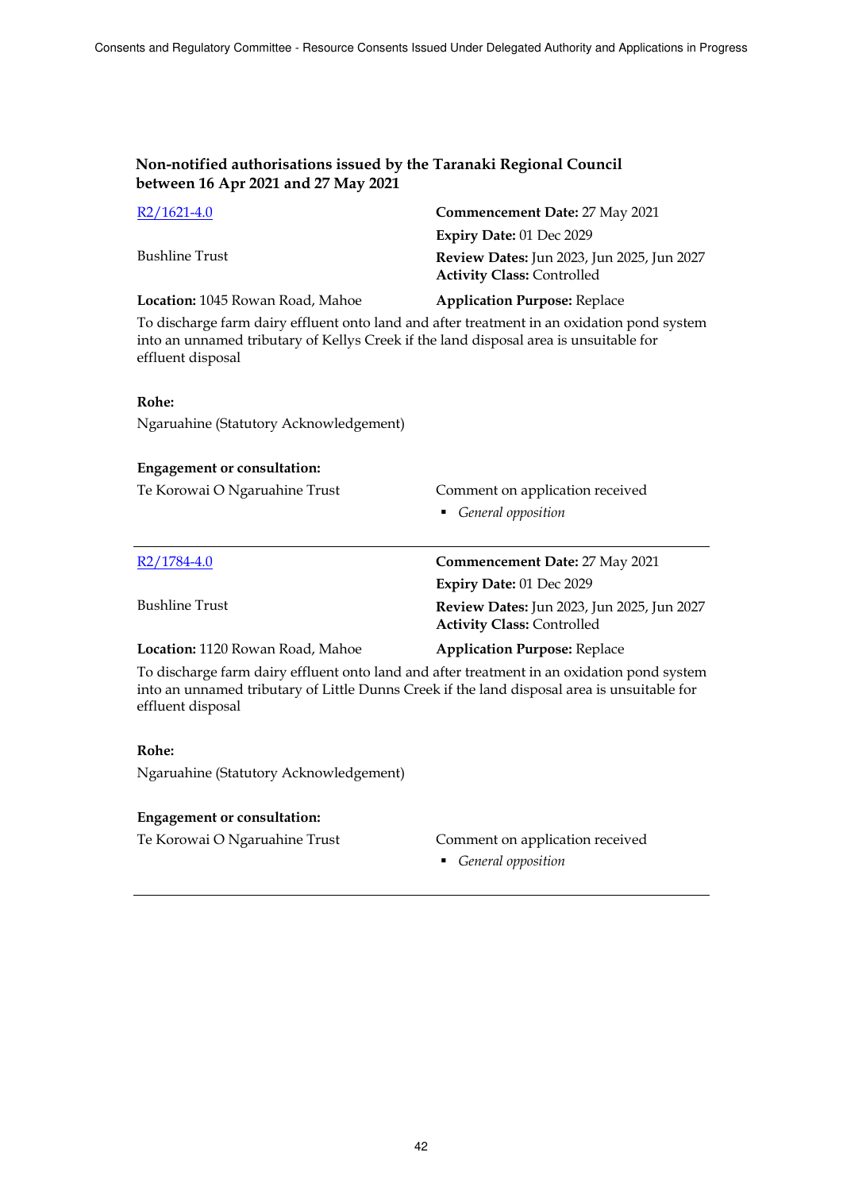| $R2/1621-4.0$                                                                                                                                                                                                  | Commencement Date: 27 May 2021                                                                                     |  |
|----------------------------------------------------------------------------------------------------------------------------------------------------------------------------------------------------------------|--------------------------------------------------------------------------------------------------------------------|--|
| <b>Bushline Trust</b>                                                                                                                                                                                          | Expiry Date: 01 Dec 2029<br><b>Review Dates: Jun 2023, Jun 2025, Jun 2027</b><br><b>Activity Class: Controlled</b> |  |
| Location: 1045 Rowan Road, Mahoe                                                                                                                                                                               | <b>Application Purpose: Replace</b>                                                                                |  |
| To discharge farm dairy effluent onto land and after treatment in an oxidation pond system<br>into an unnamed tributary of Kellys Creek if the land disposal area is unsuitable for<br>effluent disposal       |                                                                                                                    |  |
| Rohe:                                                                                                                                                                                                          |                                                                                                                    |  |
| Ngaruahine (Statutory Acknowledgement)                                                                                                                                                                         |                                                                                                                    |  |
| <b>Engagement or consultation:</b>                                                                                                                                                                             |                                                                                                                    |  |
| Te Korowai O Ngaruahine Trust                                                                                                                                                                                  | Comment on application received<br>• General opposition                                                            |  |
|                                                                                                                                                                                                                |                                                                                                                    |  |
| R <sub>2</sub> /1784-4.0                                                                                                                                                                                       | <b>Commencement Date: 27 May 2021</b>                                                                              |  |
|                                                                                                                                                                                                                | Expiry Date: 01 Dec 2029                                                                                           |  |
| <b>Bushline Trust</b>                                                                                                                                                                                          | Review Dates: Jun 2023, Jun 2025, Jun 2027<br><b>Activity Class: Controlled</b>                                    |  |
| Location: 1120 Rowan Road, Mahoe                                                                                                                                                                               | <b>Application Purpose: Replace</b>                                                                                |  |
| To discharge farm dairy effluent onto land and after treatment in an oxidation pond system<br>into an unnamed tributary of Little Dunns Creek if the land disposal area is unsuitable for<br>effluent disposal |                                                                                                                    |  |
| Rohe:                                                                                                                                                                                                          |                                                                                                                    |  |
| Ngaruahine (Statutory Acknowledgement)                                                                                                                                                                         |                                                                                                                    |  |
| <b>Engagement or consultation:</b>                                                                                                                                                                             |                                                                                                                    |  |